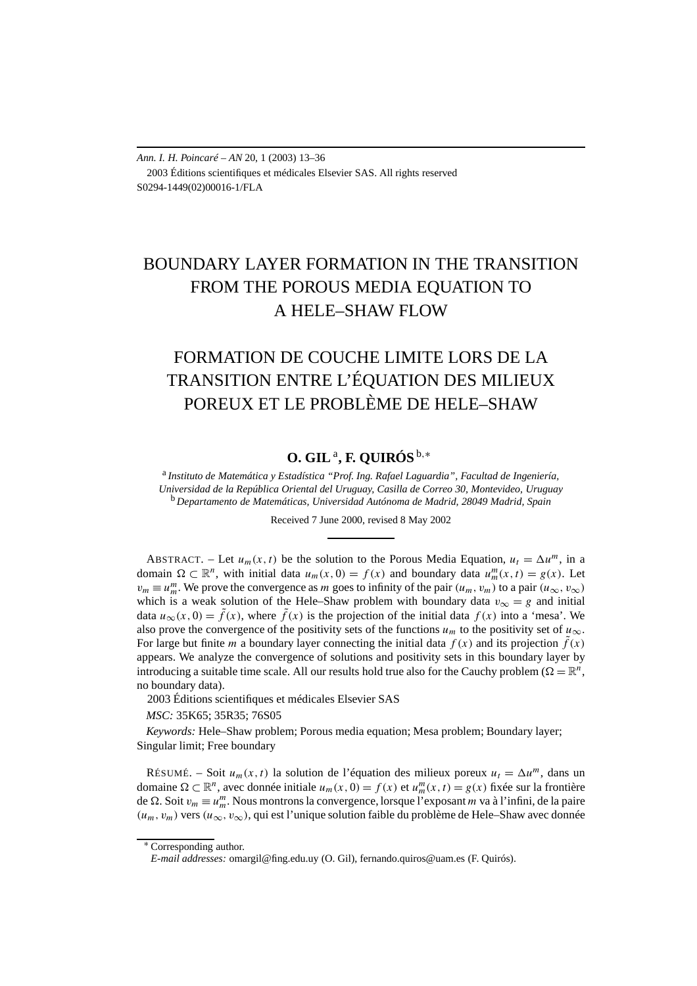*Ann. I. H. Poincaré – AN* 20, 1 (2003) 13–36 2003 Éditions scientifiques et médicales Elsevier SAS. All rights reserved S0294-1449(02)00016-1/FLA

# BOUNDARY LAYER FORMATION IN THE TRANSITION FROM THE POROUS MEDIA EQUATION TO A HELE–SHAW FLOW

# FORMATION DE COUCHE LIMITE LORS DE LA TRANSITION ENTRE L'ÉQUATION DES MILIEUX POREUX ET LE PROBLÈME DE HELE–SHAW

# **O. GIL**a**, F. QUIRÓS** <sup>b</sup>*,*<sup>∗</sup>

<sup>a</sup> *Instituto de Matemática y Estadística "Prof. Ing. Rafael Laguardia", Facultad de Ingeniería, Universidad de la República Oriental del Uruguay, Casilla de Correo 30, Montevideo, Uruguay* <sup>b</sup> *Departamento de Matemáticas, Universidad Autónoma de Madrid, 28049 Madrid, Spain*

Received 7 June 2000, revised 8 May 2002

ABSTRACT. – Let  $u_m(x, t)$  be the solution to the Porous Media Equation,  $u_t = \Delta u^m$ , in a domain  $\Omega \subset \mathbb{R}^n$ , with initial data  $u_m(x, 0) = f(x)$  and boundary data  $u_m^m(x, t) = g(x)$ . Let  $v_m \equiv u_m^m$ . We prove the convergence as *m* goes to infinity of the pair  $(u_m, v_m)$  to a pair  $(u_\infty, v_\infty)$ which is a weak solution of the Hele–Shaw problem with boundary data  $v_{\infty} = g$  and initial data  $u_{\infty}(x, 0) = \tilde{f}(x)$ , where  $\tilde{f}(x)$  is the projection of the initial data  $f(x)$  into a 'mesa'. We also prove the convergence of the positivity sets of the functions  $u_m$  to the positivity set of  $u_\infty$ . For large but finite *m* a boundary layer connecting the initial data  $f(x)$  and its projection  $\tilde{f}(x)$ appears. We analyze the convergence of solutions and positivity sets in this boundary layer by introducing a suitable time scale. All our results hold true also for the Cauchy problem ( $\Omega = \mathbb{R}^n$ , no boundary data).

2003 Éditions scientifiques et médicales Elsevier SAS

*MSC:* 35K65; 35R35; 76S05

*Keywords:* Hele–Shaw problem; Porous media equation; Mesa problem; Boundary layer; Singular limit; Free boundary

RÉSUMÉ. – Soit  $u_m(x, t)$  la solution de l'équation des milieux poreux  $u_t = \Delta u^m$ , dans un domaine  $\Omega \subset \mathbb{R}^n$ , avec donnée initiale  $u_m(x, 0) = f(x)$  et  $u_m^m(x, t) = g(x)$  fixée sur la frontière de . Soit *vm* ≡ *u<sup>m</sup> <sup>m</sup>*. Nous montrons la convergence, lorsque l'exposant *m* va à l'infini, de la paire  $(u_m, v_m)$  vers  $(u_\infty, v_\infty)$ , qui est l'unique solution faible du problème de Hele–Shaw avec donnée

<sup>∗</sup> Corresponding author.

*E-mail addresses:* omargil@fing.edu.uy (O. Gil), fernando.quiros@uam.es (F. Quirós).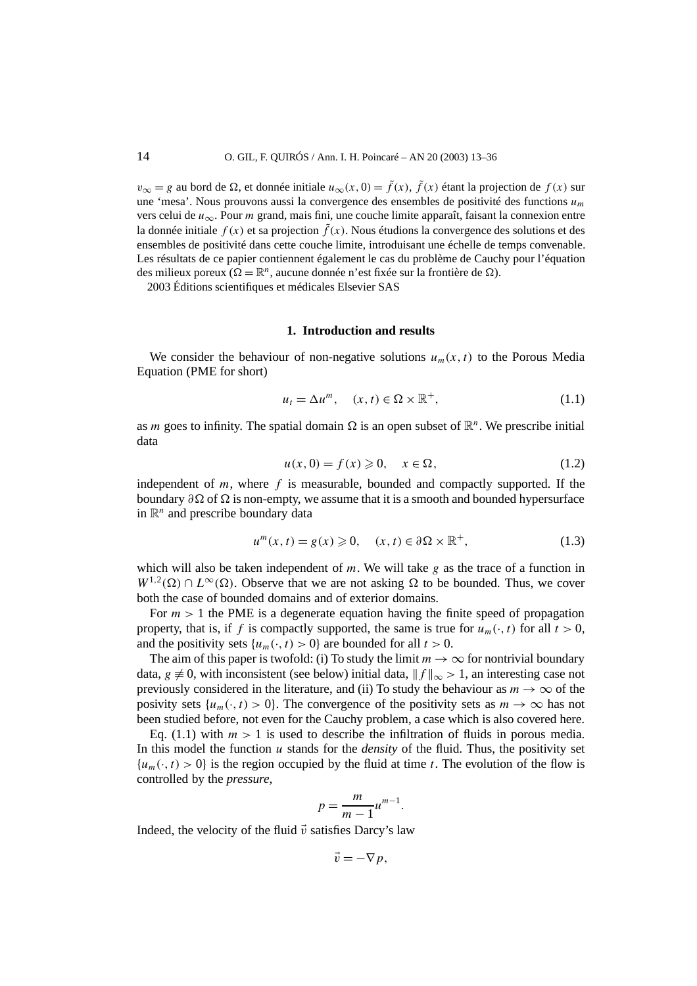$v_{\infty} = g$  au bord de  $\Omega$ , et donnée initiale  $u_{\infty}(x, 0) = \tilde{f}(x)$ ,  $\tilde{f}(x)$  étant la projection de  $f(x)$  sur une 'mesa'. Nous prouvons aussi la convergence des ensembles de positivité des functions *um* vers celui de *u*∞. Pour *m* grand, mais fini, une couche limite apparaît, faisant la connexion entre la donnée initiale  $f(x)$  et sa projection  $\tilde{f}(x)$ . Nous étudions la convergence des solutions et des ensembles de positivité dans cette couche limite, introduisant une échelle de temps convenable. Les résultats de ce papier contiennent également le cas du problème de Cauchy pour l'équation des milieux poreux ( $\Omega = \mathbb{R}^n$ , aucune donnée n'est fixée sur la frontière de  $\Omega$ ). 2003 Éditions scientifiques et médicales Elsevier SAS

#### **1. Introduction and results**

We consider the behaviour of non-negative solutions  $u_m(x, t)$  to the Porous Media Equation (PME for short)

$$
u_t = \Delta u^m, \quad (x, t) \in \Omega \times \mathbb{R}^+, \tag{1.1}
$$

as *m* goes to infinity. The spatial domain  $\Omega$  is an open subset of  $\mathbb{R}^n$ . We prescribe initial data

$$
u(x,0) = f(x) \geqslant 0, \quad x \in \Omega,
$$
\n
$$
(1.2)
$$

independent of  $m$ , where  $f$  is measurable, bounded and compactly supported. If the boundary  $\partial \Omega$  of  $\Omega$  is non-empty, we assume that it is a smooth and bounded hypersurface in  $\mathbb{R}^n$  and prescribe boundary data

$$
u^{m}(x,t) = g(x) \geqslant 0, \quad (x,t) \in \partial\Omega \times \mathbb{R}^{+}, \tag{1.3}
$$

which will also be taken independent of *m*. We will take *g* as the trace of a function in  $W^{1,2}(\Omega) \cap L^{\infty}(\Omega)$ . Observe that we are not asking  $\Omega$  to be bounded. Thus, we cover both the case of bounded domains and of exterior domains.

For  $m > 1$  the PME is a degenerate equation having the finite speed of propagation property, that is, if *f* is compactly supported, the same is true for  $u_m(\cdot, t)$  for all  $t > 0$ , and the positivity sets  $\{u_m(\cdot, t) > 0\}$  are bounded for all  $t > 0$ .

The aim of this paper is twofold: (i) To study the limit  $m \to \infty$  for nontrivial boundary data, *g*  $\neq$  0, with inconsistent (see below) initial data,  $|| f ||_{\infty} > 1$ , an interesting case not previously considered in the literature, and (ii) To study the behaviour as  $m \to \infty$  of the posivity sets  $\{u_m(\cdot,t) > 0\}$ . The convergence of the positivity sets as  $m \to \infty$  has not been studied before, not even for the Cauchy problem, a case which is also covered here.

Eq. (1.1) with  $m > 1$  is used to describe the infiltration of fluids in porous media. In this model the function *u* stands for the *density* of the fluid. Thus, the positivity set  ${u<sub>m</sub>(·, t) > 0}$  is the region occupied by the fluid at time *t*. The evolution of the flow is controlled by the *pressure*,

$$
p = \frac{m}{m-1}u^{m-1}.
$$

Indeed, the velocity of the fluid  $\vec{v}$  satisfies Darcy's law

$$
\vec{v}=-\nabla p,
$$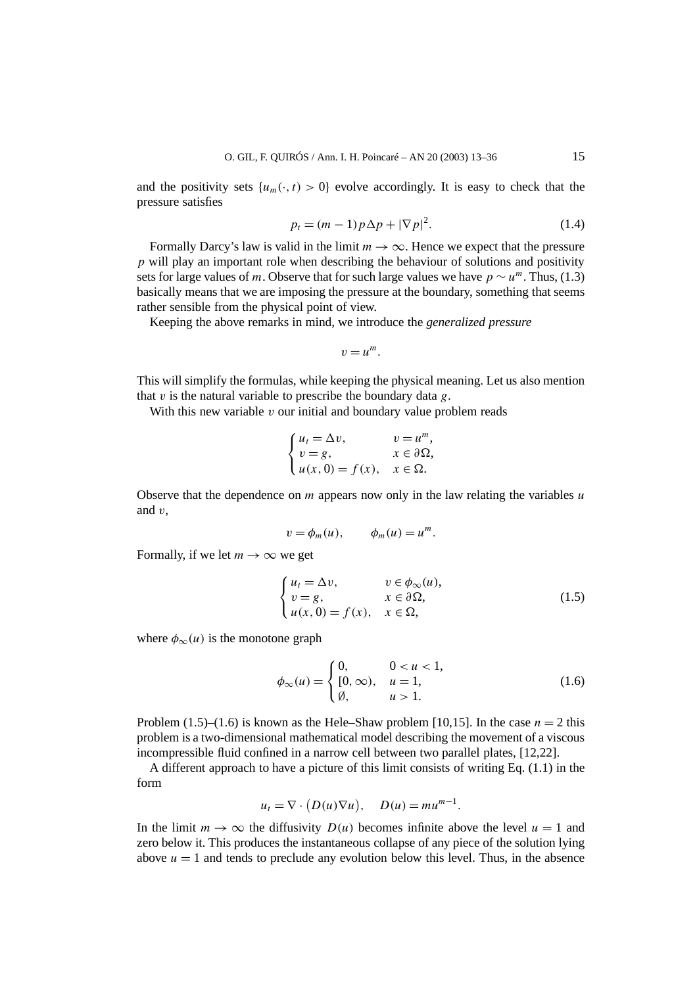and the positivity sets  $\{u_m(\cdot,t) > 0\}$  evolve accordingly. It is easy to check that the pressure satisfies

$$
p_t = (m-1)p\Delta p + |\nabla p|^2.
$$
 (1.4)

Formally Darcy's law is valid in the limit  $m \to \infty$ . Hence we expect that the pressure *p* will play an important role when describing the behaviour of solutions and positivity sets for large values of *m*. Observe that for such large values we have  $p \sim u^m$ . Thus, (1.3) basically means that we are imposing the pressure at the boundary, something that seems rather sensible from the physical point of view.

Keeping the above remarks in mind, we introduce the *generalized pressure*

$$
v=u^m.
$$

This will simplify the formulas, while keeping the physical meaning. Let us also mention that *v* is the natural variable to prescribe the boundary data *g*.

With this new variable *v* our initial and boundary value problem reads

$$
\begin{cases} u_t = \Delta v, & v = u^m, \\ v = g, & x \in \partial \Omega, \\ u(x, 0) = f(x), & x \in \Omega. \end{cases}
$$

Observe that the dependence on *m* appears now only in the law relating the variables *u* and *v*,

$$
v = \phi_m(u), \qquad \phi_m(u) = u^m.
$$

Formally, if we let  $m \to \infty$  we get

$$
\begin{cases}\n u_t = \Delta v, & v \in \phi_{\infty}(u), \\
v = g, & x \in \partial \Omega, \\
u(x, 0) = f(x), & x \in \Omega,\n\end{cases}
$$
\n(1.5)

where  $\phi_{\infty}(u)$  is the monotone graph

$$
\phi_{\infty}(u) = \begin{cases} 0, & 0 < u < 1, \\ [0, \infty), & u = 1, \\ \emptyset, & u > 1. \end{cases}
$$
 (1.6)

Problem (1.5)–(1.6) is known as the Hele–Shaw problem [10,15]. In the case  $n = 2$  this problem is a two-dimensional mathematical model describing the movement of a viscous incompressible fluid confined in a narrow cell between two parallel plates, [12,22].

A different approach to have a picture of this limit consists of writing Eq. (1.1) in the form

$$
u_t = \nabla \cdot (D(u)\nabla u), \quad D(u) = mu^{m-1}.
$$

In the limit  $m \to \infty$  the diffusivity  $D(u)$  becomes infinite above the level  $u = 1$  and zero below it. This produces the instantaneous collapse of any piece of the solution lying above  $u = 1$  and tends to preclude any evolution below this level. Thus, in the absence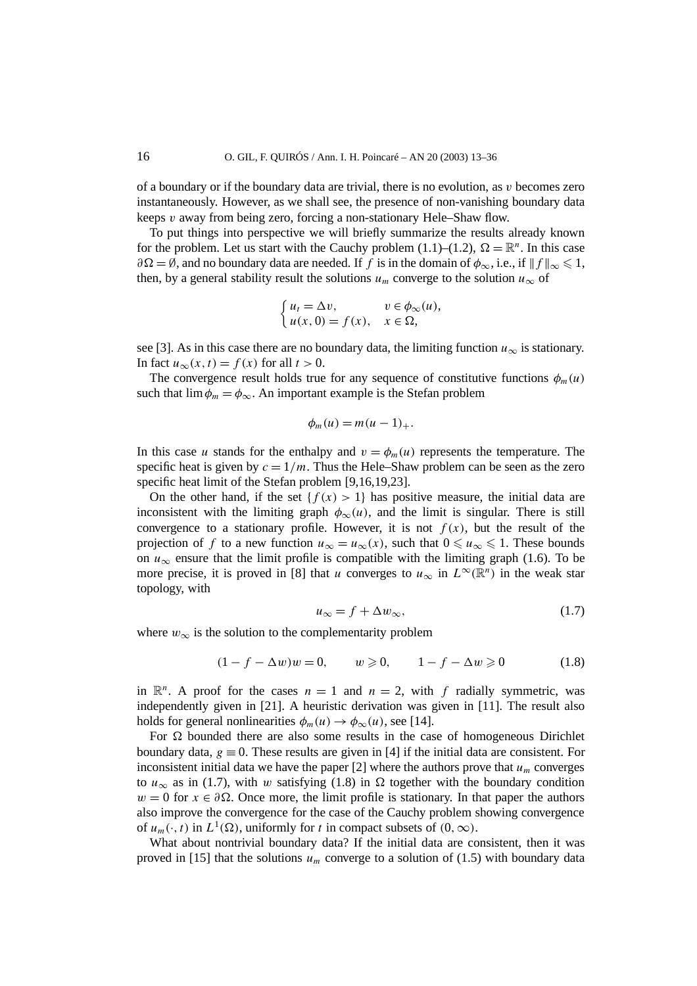of a boundary or if the boundary data are trivial, there is no evolution, as *v* becomes zero instantaneously. However, as we shall see, the presence of non-vanishing boundary data keeps *v* away from being zero, forcing a non-stationary Hele–Shaw flow.

To put things into perspective we will briefly summarize the results already known for the problem. Let us start with the Cauchy problem (1.1)–(1.2),  $\Omega = \mathbb{R}^n$ . In this case  $\partial \Omega = \emptyset$ , and no boundary data are needed. If *f* is in the domain of  $\phi_{\infty}$ , i.e., if  $|| f ||_{\infty} \leq 1$ , then, by a general stability result the solutions  $u_m$  converge to the solution  $u_{\infty}$  of

$$
\begin{cases} u_t = \Delta v, & v \in \phi_\infty(u), \\ u(x, 0) = f(x), & x \in \Omega, \end{cases}
$$

see [3]. As in this case there are no boundary data, the limiting function  $u_{\infty}$  is stationary. In fact  $u_{\infty}(x, t) = f(x)$  for all  $t > 0$ .

The convergence result holds true for any sequence of constitutive functions  $\phi_m(u)$ such that  $\lim \phi_m = \phi_\infty$ . An important example is the Stefan problem

$$
\phi_m(u) = m(u-1)_+.
$$

In this case *u* stands for the enthalpy and  $v = \phi_m(u)$  represents the temperature. The specific heat is given by  $c = 1/m$ . Thus the Hele–Shaw problem can be seen as the zero specific heat limit of the Stefan problem [9,16,19,23].

On the other hand, if the set  ${f(x) > 1}$  has positive measure, the initial data are inconsistent with the limiting graph  $\phi_{\infty}(u)$ , and the limit is singular. There is still convergence to a stationary profile. However, it is not  $f(x)$ , but the result of the projection of *f* to a new function  $u_{\infty} = u_{\infty}(x)$ , such that  $0 \le u_{\infty} \le 1$ . These bounds on  $u_{\infty}$  ensure that the limit profile is compatible with the limiting graph (1.6). To be more precise, it is proved in [8] that *u* converges to  $u_{\infty}$  in  $L^{\infty}(\mathbb{R}^{n})$  in the weak star topology, with

$$
u_{\infty} = f + \Delta w_{\infty},\tag{1.7}
$$

where  $w_{\infty}$  is the solution to the complementarity problem

$$
(1 - f - \Delta w)w = 0, \qquad w \geqslant 0, \qquad 1 - f - \Delta w \geqslant 0 \tag{1.8}
$$

in  $\mathbb{R}^n$ . A proof for the cases  $n = 1$  and  $n = 2$ , with f radially symmetric, was independently given in [21]. A heuristic derivation was given in [11]. The result also holds for general nonlinearities  $\phi_m(u) \to \phi_\infty(u)$ , see [14].

For  $\Omega$  bounded there are also some results in the case of homogeneous Dirichlet boundary data,  $g \equiv 0$ . These results are given in [4] if the initial data are consistent. For inconsistent initial data we have the paper  $[2]$  where the authors prove that  $u_m$  converges to  $u_{\infty}$  as in (1.7), with *w* satisfying (1.8) in  $\Omega$  together with the boundary condition  $w = 0$  for  $x \in \partial \Omega$ . Once more, the limit profile is stationary. In that paper the authors also improve the convergence for the case of the Cauchy problem showing convergence of  $u_m(\cdot, t)$  in  $L^1(\Omega)$ , uniformly for *t* in compact subsets of  $(0, \infty)$ .

What about nontrivial boundary data? If the initial data are consistent, then it was proved in [15] that the solutions  $u_m$  converge to a solution of (1.5) with boundary data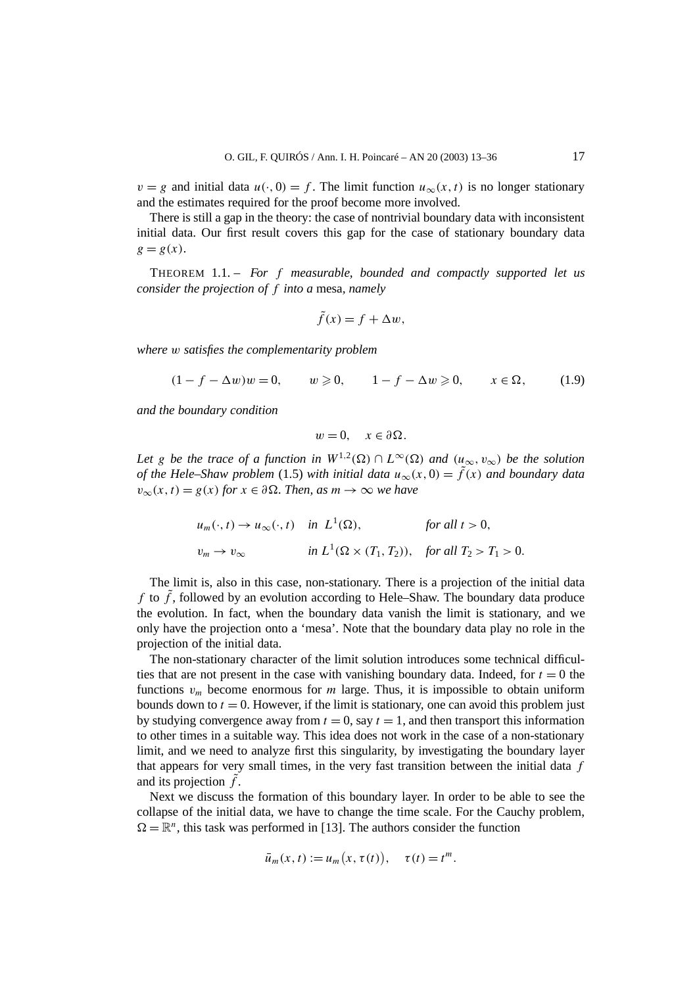$v = g$  and initial data  $u(\cdot, 0) = f$ . The limit function  $u_{\infty}(x, t)$  is no longer stationary and the estimates required for the proof become more involved.

There is still a gap in the theory: the case of nontrivial boundary data with inconsistent initial data. Our first result covers this gap for the case of stationary boundary data  $g = g(x)$ .

THEOREM 1.1. – *For f measurable, bounded and compactly supported let us consider the projection of f into a* mesa*, namely*

$$
\tilde{f}(x) = f + \Delta w,
$$

*where w satisfies the complementarity problem*

 $(1 - f - \Delta w)w = 0,$  *w* ≥ 0*,*  $1 - f - \Delta w \ge 0,$  *x* ∈ Ω, (1.9)

*and the boundary condition*

$$
w=0, \quad x\in\partial\Omega.
$$

*Let g be the trace of a function in*  $W^{1,2}(\Omega) \cap L^{\infty}(\Omega)$  *and*  $(u_{\infty}, v_{\infty})$  *be the solution of the Hele–Shaw problem* (1.5) *with initial data*  $u_{\infty}(x, 0) = \tilde{f}(x)$  *and boundary data*  $v_{\infty}(x, t) = g(x)$  *for*  $x \in \partial \Omega$ *. Then, as*  $m \to \infty$  *we have* 

$$
u_m(\cdot, t) \to u_\infty(\cdot, t) \quad \text{in } L^1(\Omega), \qquad \text{for all } t > 0,
$$
  

$$
v_m \to v_\infty \qquad \text{in } L^1(\Omega \times (T_1, T_2)), \quad \text{for all } T_2 > T_1 > 0.
$$

The limit is, also in this case, non-stationary. There is a projection of the initial data *f* to  $\tilde{f}$ , followed by an evolution according to Hele–Shaw. The boundary data produce the evolution. In fact, when the boundary data vanish the limit is stationary, and we only have the projection onto a 'mesa'. Note that the boundary data play no role in the projection of the initial data.

The non-stationary character of the limit solution introduces some technical difficulties that are not present in the case with vanishing boundary data. Indeed, for  $t = 0$  the functions  $v_m$  become enormous for *m* large. Thus, it is impossible to obtain uniform bounds down to  $t = 0$ . However, if the limit is stationary, one can avoid this problem just by studying convergence away from  $t = 0$ , say  $t = 1$ , and then transport this information to other times in a suitable way. This idea does not work in the case of a non-stationary limit, and we need to analyze first this singularity, by investigating the boundary layer that appears for very small times, in the very fast transition between the initial data *f* and its projection  $\tilde{f}$ .

Next we discuss the formation of this boundary layer. In order to be able to see the collapse of the initial data, we have to change the time scale. For the Cauchy problem,  $\Omega = \mathbb{R}^n$ , this task was performed in [13]. The authors consider the function

$$
\bar{u}_m(x,t) := u_m(x,\tau(t)), \quad \tau(t) = t^m.
$$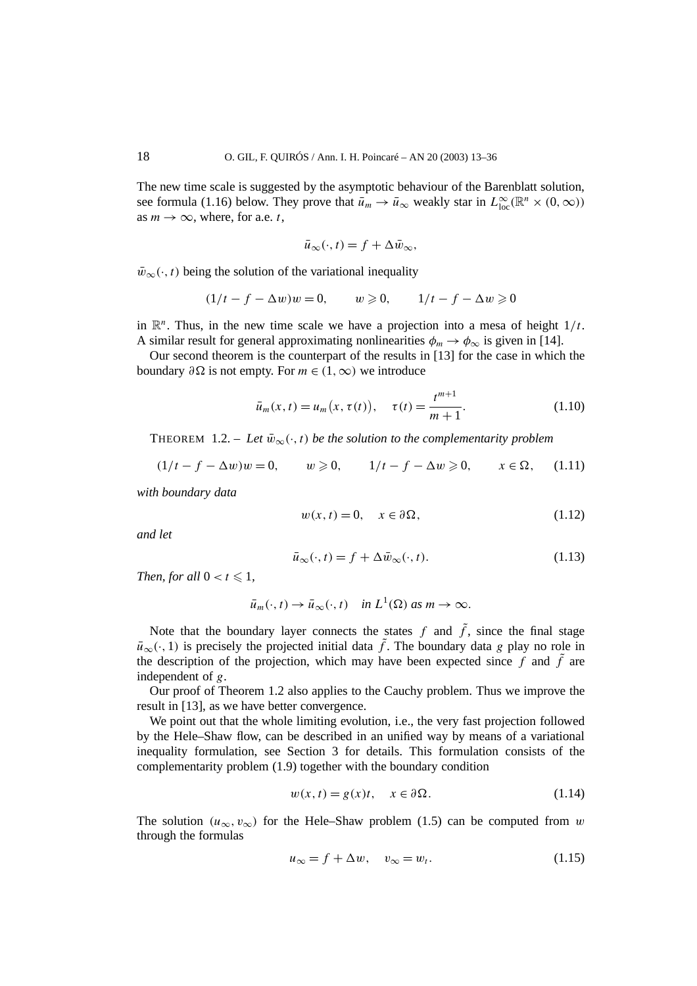The new time scale is suggested by the asymptotic behaviour of the Barenblatt solution, see formula (1.16) below. They prove that  $\bar{u}_m \to \bar{u}_\infty$  weakly star in  $L^{\infty}_{loc}(\mathbb{R}^n \times (0, \infty))$ as  $m \to \infty$ , where, for a.e. *t*,

$$
\bar{u}_{\infty}(\cdot,t) = f + \Delta \bar{w}_{\infty},
$$

 $\bar{w}_{\infty}(\cdot, t)$  being the solution of the variational inequality

$$
(1/t - f - \Delta w)w = 0, \qquad w \geq 0, \qquad 1/t - f - \Delta w \geq 0
$$

in  $\mathbb{R}^n$ . Thus, in the new time scale we have a projection into a mesa of height  $1/t$ . A similar result for general approximating nonlinearities  $\phi_m \to \phi_\infty$  is given in [14].

Our second theorem is the counterpart of the results in [13] for the case in which the boundary *∂*Ω is not empty. For *m* ∈ (1, ∞) we introduce

$$
\bar{u}_m(x,t) = u_m(x,\tau(t)), \quad \tau(t) = \frac{t^{m+1}}{m+1}.
$$
 (1.10)

THEOREM 1.2. – Let  $\bar{w}_{\infty}(\cdot,t)$  be the solution to the complementarity problem

$$
(1/t - f - \Delta w)w = 0, \qquad w \geq 0, \qquad 1/t - f - \Delta w \geq 0, \qquad x \in \Omega, \qquad (1.11)
$$

*with boundary data*

$$
w(x,t) = 0, \quad x \in \partial\Omega,
$$
\n(1.12)

*and let*

$$
\bar{u}_{\infty}(\cdot, t) = f + \Delta \bar{w}_{\infty}(\cdot, t). \tag{1.13}
$$

*Then, for all*  $0 < t \leq 1$ *,* 

$$
\bar{u}_m(\cdot,t) \to \bar{u}_\infty(\cdot,t)
$$
 in  $L^1(\Omega)$  as  $m \to \infty$ .

Note that the boundary layer connects the states  $f$  and  $\tilde{f}$ , since the final stage  $\bar{u}_{\infty}(\cdot, 1)$  is precisely the projected initial data  $\tilde{f}$ . The boundary data *g* play no role in the description of the projection, which may have been expected since  $f$  and  $\tilde{f}$  are independent of *g*.

Our proof of Theorem 1.2 also applies to the Cauchy problem. Thus we improve the result in [13], as we have better convergence.

We point out that the whole limiting evolution, i.e., the very fast projection followed by the Hele–Shaw flow, can be described in an unified way by means of a variational inequality formulation, see Section 3 for details. This formulation consists of the complementarity problem (1.9) together with the boundary condition

$$
w(x,t) = g(x)t, \quad x \in \partial \Omega.
$$
 (1.14)

The solution  $(u_{\infty}, v_{\infty})$  for the Hele–Shaw problem (1.5) can be computed from *w* through the formulas

$$
u_{\infty} = f + \Delta w, \quad v_{\infty} = w_t.
$$
 (1.15)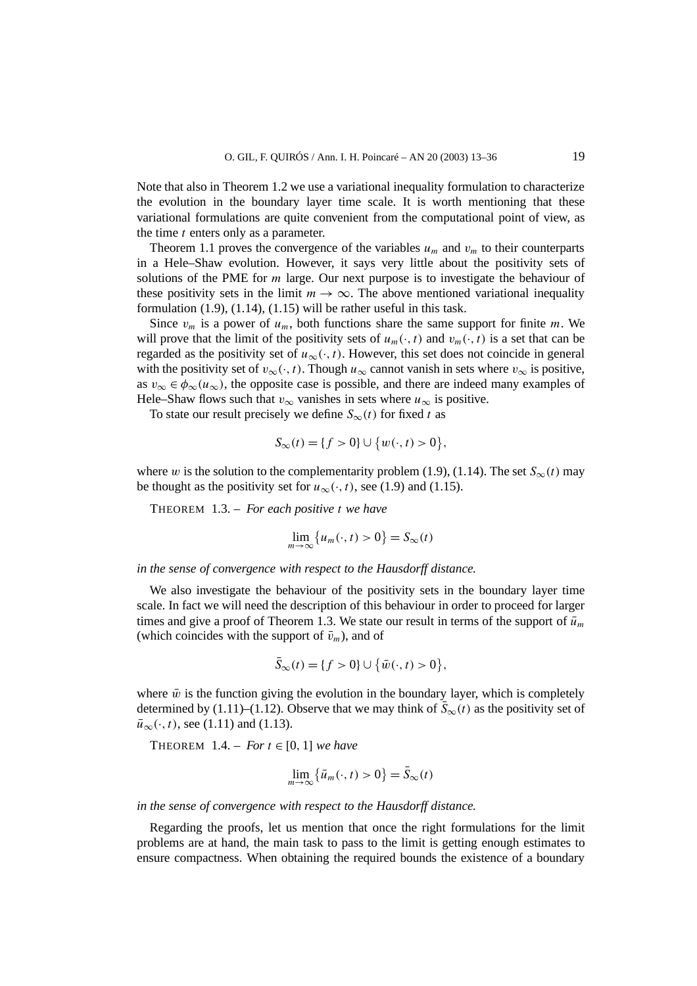Note that also in Theorem 1.2 we use a variational inequality formulation to characterize the evolution in the boundary layer time scale. It is worth mentioning that these variational formulations are quite convenient from the computational point of view, as the time *t* enters only as a parameter.

Theorem 1.1 proves the convergence of the variables  $u_m$  and  $v_m$  to their counterparts in a Hele–Shaw evolution. However, it says very little about the positivity sets of solutions of the PME for *m* large. Our next purpose is to investigate the behaviour of these positivity sets in the limit  $m \to \infty$ . The above mentioned variational inequality formulation  $(1.9)$ ,  $(1.14)$ ,  $(1.15)$  will be rather useful in this task.

Since  $v_m$  is a power of  $u_m$ , both functions share the same support for finite *m*. We will prove that the limit of the positivity sets of  $u_m(\cdot, t)$  and  $v_m(\cdot, t)$  is a set that can be regarded as the positivity set of  $u_{\infty}(\cdot,t)$ . However, this set does not coincide in general with the positivity set of  $v_{\infty}(\cdot, t)$ . Though  $u_{\infty}$  cannot vanish in sets where  $v_{\infty}$  is positive, as  $v_{\infty} \in \phi_{\infty}(u_{\infty})$ , the opposite case is possible, and there are indeed many examples of Hele–Shaw flows such that  $v_{\infty}$  vanishes in sets where  $u_{\infty}$  is positive.

To state our result precisely we define  $S_\infty(t)$  for fixed t as

$$
S_{\infty}(t) = \{f > 0\} \cup \{w(\cdot, t) > 0\},\
$$

where *w* is the solution to the complementarity problem (1.9), (1.14). The set  $S_{\infty}(t)$  may be thought as the positivity set for  $u_{\infty}(\cdot, t)$ , see (1.9) and (1.15).

THEOREM 1.3. – *For each positive t we have*

$$
\lim_{m \to \infty} \{ u_m(\cdot, t) > 0 \} = S_\infty(t)
$$

*in the sense of convergence with respect to the Hausdorff distance.*

We also investigate the behaviour of the positivity sets in the boundary layer time scale. In fact we will need the description of this behaviour in order to proceed for larger times and give a proof of Theorem 1.3. We state our result in terms of the support of  $\bar{u}_m$ (which coincides with the support of  $\bar{v}_m$ ), and of

$$
\bar{S}_{\infty}(t) = \{f > 0\} \cup \{\bar{w}(\cdot, t) > 0\},\
$$

where  $\bar{w}$  is the function giving the evolution in the boundary layer, which is completely determined by (1.11)–(1.12). Observe that we may think of  $S_{\infty}(t)$  as the positivity set of  $\bar{u}_{\infty}(\cdot, t)$ , see (1.11) and (1.13).

THEOREM  $1.4. - For t \in [0, 1]$  *we have* 

$$
\lim_{m \to \infty} \{ \bar{u}_m(\cdot, t) > 0 \} = \bar{S}_{\infty}(t)
$$

*in the sense of convergence with respect to the Hausdorff distance.*

Regarding the proofs, let us mention that once the right formulations for the limit problems are at hand, the main task to pass to the limit is getting enough estimates to ensure compactness. When obtaining the required bounds the existence of a boundary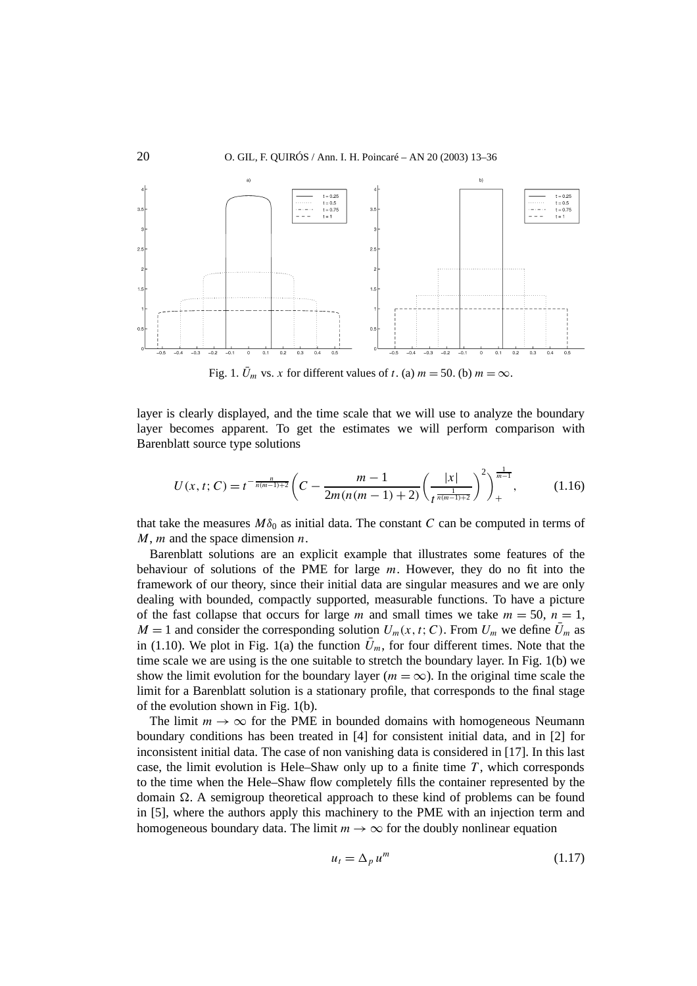

Fig. 1.  $\bar{U}_m$  vs. *x* for different values of *t*. (a)  $m = 50$ . (b)  $m = \infty$ .

layer is clearly displayed, and the time scale that we will use to analyze the boundary layer becomes apparent. To get the estimates we will perform comparison with Barenblatt source type solutions

$$
U(x, t; C) = t^{-\frac{n}{n(m-1)+2}} \left( C - \frac{m-1}{2m(n(m-1)+2)} \left( \frac{|x|}{t^{\frac{1}{n(m-1)+2}}} \right)^2 \right)_{+}^{\frac{1}{m-1}}, \tag{1.16}
$$

that take the measures  $M\delta_0$  as initial data. The constant *C* can be computed in terms of *M*, *m* and the space dimension *n*.

Barenblatt solutions are an explicit example that illustrates some features of the behaviour of solutions of the PME for large *m*. However, they do no fit into the framework of our theory, since their initial data are singular measures and we are only dealing with bounded, compactly supported, measurable functions. To have a picture of the fast collapse that occurs for large *m* and small times we take  $m = 50$ ,  $n = 1$ ,  $M = 1$  and consider the corresponding solution  $U_m(x, t; C)$ . From  $U_m$  we define  $\bar{U}_m$  as in (1.10). We plot in Fig. 1(a) the function  $\bar{U}_m$ , for four different times. Note that the time scale we are using is the one suitable to stretch the boundary layer. In Fig. 1(b) we show the limit evolution for the boundary layer ( $m = \infty$ ). In the original time scale the limit for a Barenblatt solution is a stationary profile, that corresponds to the final stage of the evolution shown in Fig. 1(b).

The limit  $m \to \infty$  for the PME in bounded domains with homogeneous Neumann boundary conditions has been treated in [4] for consistent initial data, and in [2] for inconsistent initial data. The case of non vanishing data is considered in [17]. In this last case, the limit evolution is Hele–Shaw only up to a finite time  $T$ , which corresponds to the time when the Hele–Shaw flow completely fills the container represented by the domain  $\Omega$ . A semigroup theoretical approach to these kind of problems can be found in [5], where the authors apply this machinery to the PME with an injection term and homogeneous boundary data. The limit  $m \to \infty$  for the doubly nonlinear equation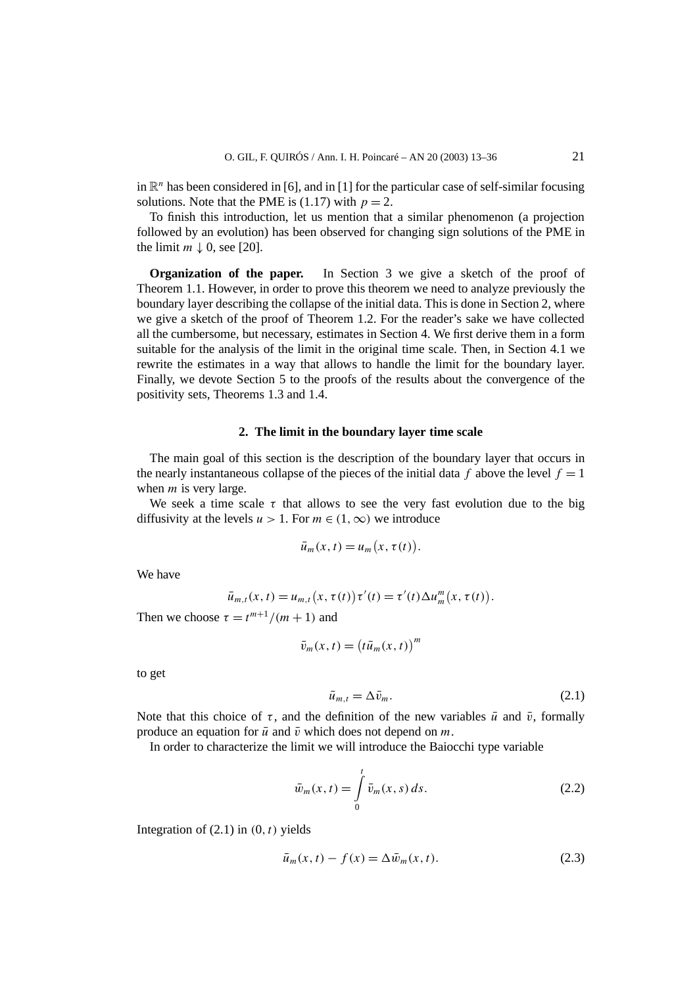in  $\mathbb{R}^n$  has been considered in [6], and in [1] for the particular case of self-similar focusing solutions. Note that the PME is  $(1.17)$  with  $p = 2$ .

To finish this introduction, let us mention that a similar phenomenon (a projection followed by an evolution) has been observed for changing sign solutions of the PME in the limit  $m \downarrow 0$ , see [20].

**Organization of the paper.** In Section 3 we give a sketch of the proof of Theorem 1.1. However, in order to prove this theorem we need to analyze previously the boundary layer describing the collapse of the initial data. This is done in Section 2, where we give a sketch of the proof of Theorem 1.2. For the reader's sake we have collected all the cumbersome, but necessary, estimates in Section 4. We first derive them in a form suitable for the analysis of the limit in the original time scale. Then, in Section 4.1 we rewrite the estimates in a way that allows to handle the limit for the boundary layer. Finally, we devote Section 5 to the proofs of the results about the convergence of the positivity sets, Theorems 1.3 and 1.4.

### **2. The limit in the boundary layer time scale**

The main goal of this section is the description of the boundary layer that occurs in the nearly instantaneous collapse of the pieces of the initial data *f* above the level  $f = 1$ when *m* is very large.

We seek a time scale  $\tau$  that allows to see the very fast evolution due to the big diffusivity at the levels  $u > 1$ . For  $m \in (1, \infty)$  we introduce

$$
\bar{u}_m(x,t) = u_m(x,\tau(t)).
$$

We have

$$
\bar{u}_{m,t}(x,t) = u_{m,t}(x,\tau(t))\tau'(t) = \tau'(t)\Delta u_m^m(x,\tau(t)).
$$

Then we choose  $\tau = t^{m+1}/(m+1)$  and

$$
\bar{v}_m(x,t) = (t\bar{u}_m(x,t))^m
$$

to get

$$
\bar{u}_{m,t} = \Delta \bar{v}_m. \tag{2.1}
$$

Note that this choice of *τ*, and the definition of the new variables  $\bar{u}$  and  $\bar{v}$ , formally produce an equation for  $\bar{u}$  and  $\bar{v}$  which does not depend on  $m$ .

In order to characterize the limit we will introduce the Baiocchi type variable

$$
\bar{w}_m(x,t) = \int_0^t \bar{v}_m(x,s) \, ds. \tag{2.2}
$$

Integration of  $(2.1)$  in  $(0, t)$  yields

$$
\bar{u}_m(x,t) - f(x) = \Delta \bar{w}_m(x,t). \tag{2.3}
$$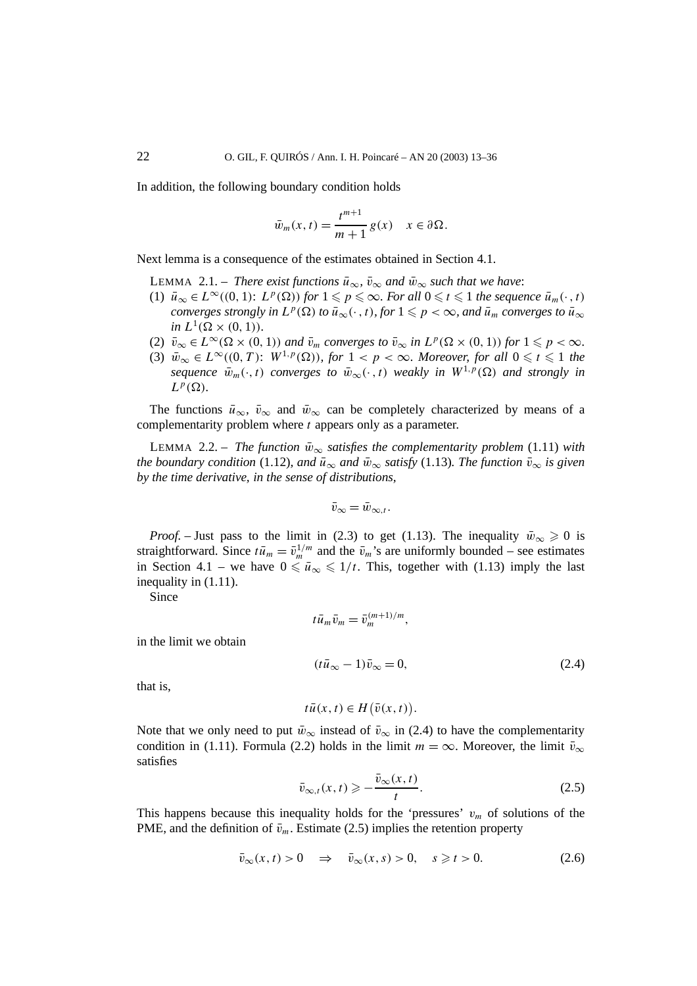In addition, the following boundary condition holds

$$
\bar{w}_m(x,t) = \frac{t^{m+1}}{m+1} g(x) \quad x \in \partial \Omega.
$$

Next lemma is a consequence of the estimates obtained in Section 4.1.

LEMMA 2.1. – *There exist functions*  $\bar{u}_{\infty}$ ,  $\bar{v}_{\infty}$  *and*  $\bar{w}_{\infty}$  *such that we have:* 

- $(1)$   $\bar{u}_{\infty} \in L^{\infty}((0, 1))$ :  $L^p(\Omega)$  *for*  $1 \leqslant p \leqslant \infty$ *. For all*  $0 \leqslant t \leqslant 1$  *the sequence*  $\bar{u}_m(\cdot, t)$ *converges strongly in*  $L^p(\Omega)$  *to*  $\bar{u}_\infty(\cdot, t)$ *, for*  $1 \leqslant p < \infty$ *, and*  $\bar{u}_m$  *converges to*  $\bar{u}_\infty$  $in L^1(\Omega \times (0, 1))$ .
- (2)  $\bar{v}_{\infty} \in L^{\infty}(\Omega \times (0, 1))$  and  $\bar{v}_{m}$  converges to  $\bar{v}_{\infty}$  in  $L^{p}(\Omega \times (0, 1))$  for  $1 \leq p < \infty$ .
- (3)  $\bar{w}_{\infty} \in L^{\infty}((0, T): W^{1, p}(\Omega))$ , for  $1 < p < \infty$ . Moreover, for all  $0 \leq t \leq 1$  the *sequence*  $\bar{w}_m(\cdot,t)$  *converges to*  $\bar{w}_\infty(\cdot,t)$  *weakly in*  $W^{1,p}(\Omega)$  *and strongly in*  $L^p(\Omega)$ *.*

The functions  $\bar{u}_{\infty}$ ,  $\bar{v}_{\infty}$  and  $\bar{w}_{\infty}$  can be completely characterized by means of a complementarity problem where *t* appears only as a parameter.

LEMMA 2.2. – *The function*  $\bar{w}_{\infty}$  *satisfies the complementarity problem* (1.11) *with the boundary condition* (1.12)*, and*  $\bar{u}_{\infty}$  *and*  $\bar{w}_{\infty}$  *satisfy* (1.13)*. The function*  $\bar{v}_{\infty}$  *is given by the time derivative, in the sense of distributions,*

$$
\bar{v}_{\infty}=\bar{w}_{\infty,t}.
$$

*Proof.* – Just pass to the limit in (2.3) to get (1.13). The inequality  $\bar{w}_{\infty} \ge 0$  is straightforward. Since  $t\bar{u}_m = \bar{v}_m^{1/m}$  and the  $\bar{v}_m$ 's are uniformly bounded – see estimates in Section 4.1 – we have  $0 \le \bar{u}_{\infty} \le 1/t$ . This, together with (1.13) imply the last inequality in (1.11).

Since

$$
t\bar{u}_m\bar{v}_m=\bar{v}_m^{(m+1)/m},
$$

in the limit we obtain

$$
(t\bar{u}_{\infty} - 1)\bar{v}_{\infty} = 0,\t(2.4)
$$

that is,

$$
t\bar{u}(x,t) \in H(\bar{v}(x,t))
$$

Note that we only need to put  $\bar{w}_{\infty}$  instead of  $\bar{v}_{\infty}$  in (2.4) to have the complementarity condition in (1.11). Formula (2.2) holds in the limit  $m = \infty$ . Moreover, the limit  $\bar{v}_{\infty}$ satisfies

$$
\bar{v}_{\infty,t}(x,t) \geqslant -\frac{\bar{v}_{\infty}(x,t)}{t}.
$$
\n(2.5)

This happens because this inequality holds for the 'pressures'  $v_m$  of solutions of the PME, and the definition of  $\bar{v}_m$ . Estimate (2.5) implies the retention property

$$
\bar{v}_{\infty}(x,t) > 0 \quad \Rightarrow \quad \bar{v}_{\infty}(x,s) > 0, \quad s \geq t > 0. \tag{2.6}
$$

*.*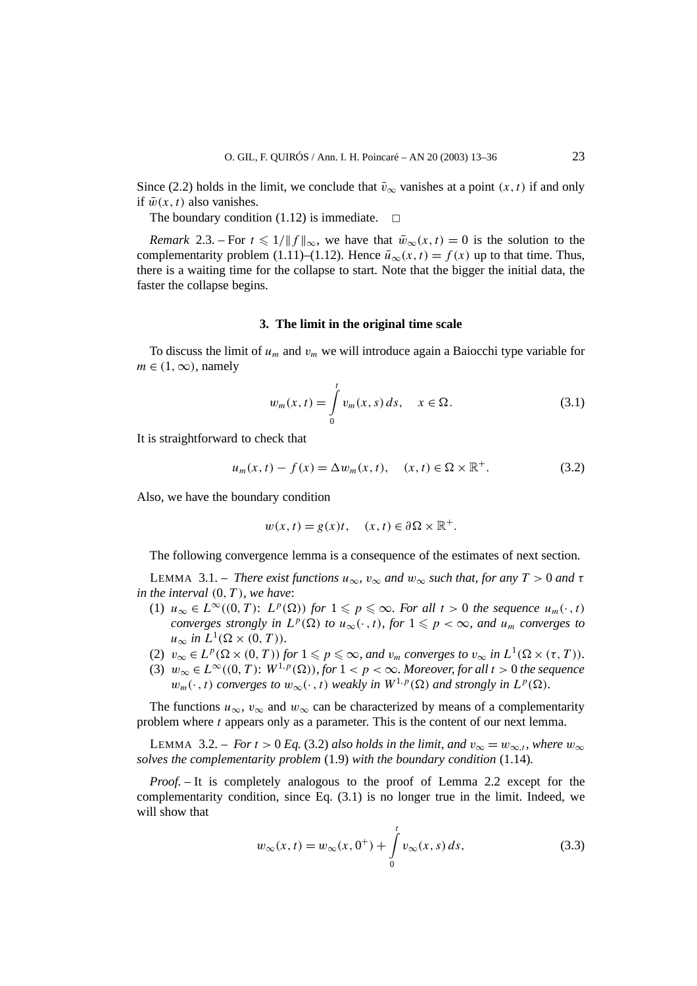Since (2.2) holds in the limit, we conclude that  $\bar{v}_{\infty}$  vanishes at a point  $(x, t)$  if and only if  $\bar{w}(x, t)$  also vanishes.

The boundary condition (1.12) is immediate.  $\Box$ 

*Remark* 2.3. – For  $t \le 1/\|f\|_{\infty}$ , we have that  $\bar{w}_{\infty}(x, t) = 0$  is the solution to the complementarity problem (1.11)–(1.12). Hence  $\bar{u}_{\infty}(x, t) = f(x)$  up to that time. Thus, there is a waiting time for the collapse to start. Note that the bigger the initial data, the faster the collapse begins.

# **3. The limit in the original time scale**

To discuss the limit of *um* and *vm* we will introduce again a Baiocchi type variable for  $m \in (1, \infty)$ , namely

$$
w_m(x,t) = \int_{0}^{t} v_m(x,s) \, ds, \quad x \in \Omega. \tag{3.1}
$$

It is straightforward to check that

$$
u_m(x,t) - f(x) = \Delta w_m(x,t), \quad (x,t) \in \Omega \times \mathbb{R}^+.
$$
 (3.2)

Also, we have the boundary condition

$$
w(x, t) = g(x)t, \quad (x, t) \in \partial\Omega \times \mathbb{R}^+.
$$

The following convergence lemma is a consequence of the estimates of next section.

**LEMMA** 3.1. – *There exist functions*  $u_{\infty}$ ,  $v_{\infty}$  *and*  $w_{\infty}$  *such that, for any*  $T > 0$  *and*  $\tau$ *in the interval (*0*,T), we have*:

- (1)  $u_{\infty} \in L^{\infty}((0, T))$ :  $L^p(\Omega)$  *for*  $1 \leq p \leq \infty$ *. For all t >* 0 *the sequence*  $u_m(\cdot, t)$ *converges strongly in*  $L^p(\Omega)$  *to*  $u_\infty(\cdot, t)$ *, for*  $1 \leq p < \infty$ *, and*  $u_m$  *converges to*  $u_{\infty}$  *in*  $L^1(\Omega \times (0,T))$ *.*
- (2)  $v_{\infty} \in L^p(\Omega \times (0, T))$  for  $1 \leq p \leq \infty$ , and  $v_m$  converges to  $v_{\infty}$  in  $L^1(\Omega \times (\tau, T))$ .
- (3)  $w_{\infty} \in L^{\infty}((0, T): W^{1, p}(\Omega))$ , for  $1 < p < \infty$ . Moreover, for all  $t > 0$  the sequence  $w_m(\cdot, t)$  *converges to*  $w_\infty(\cdot, t)$  *weakly in*  $W^{1,p}(\Omega)$  *and strongly in*  $L^p(\Omega)$ *.*

The functions  $u_{\infty}$ ,  $v_{\infty}$  and  $w_{\infty}$  can be characterized by means of a complementarity problem where *t* appears only as a parameter. This is the content of our next lemma.

LEMMA 3.2. – *For*  $t > 0$  *Eq.* (3.2) *also holds in the limit, and*  $v_{\infty} = w_{\infty,t}$ *, where*  $w_{\infty}$ *solves the complementarity problem* (1.9) *with the boundary condition* (1.14)*.*

*Proof. –* It is completely analogous to the proof of Lemma 2.2 except for the complementarity condition, since Eq. (3.1) is no longer true in the limit. Indeed, we will show that

$$
w_{\infty}(x,t) = w_{\infty}(x,0^+) + \int_{0}^{t} v_{\infty}(x,s) \, ds,\tag{3.3}
$$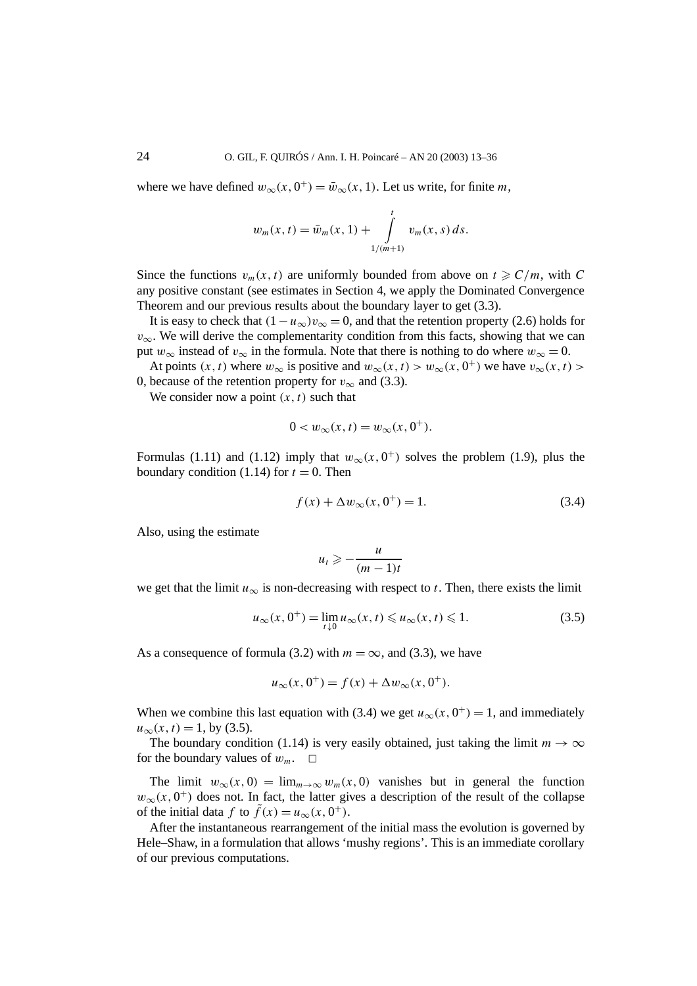where we have defined  $w_{\infty}(x, 0^+) = \bar{w}_{\infty}(x, 1)$ . Let us write, for finite *m*,

$$
w_m(x,t) = \bar{w}_m(x,1) + \int_{1/(m+1)}^t v_m(x,s) \, ds.
$$

Since the functions  $v_m(x, t)$  are uniformly bounded from above on  $t \ge C/m$ , with C any positive constant (see estimates in Section 4, we apply the Dominated Convergence Theorem and our previous results about the boundary layer to get (3.3).

It is easy to check that  $(1 - u_{\infty})v_{\infty} = 0$ , and that the retention property (2.6) holds for *v*<sub>∞</sub>. We will derive the complementarity condition from this facts, showing that we can put  $w_{\infty}$  instead of  $v_{\infty}$  in the formula. Note that there is nothing to do where  $w_{\infty} = 0$ .

At points  $(x, t)$  where  $w_{\infty}$  is positive and  $w_{\infty}(x, t) > w_{\infty}(x, 0^+)$  we have  $v_{\infty}(x, t) >$ 0, because of the retention property for  $v_{\infty}$  and (3.3).

We consider now a point  $(x, t)$  such that

$$
0 < w_{\infty}(x, t) = w_{\infty}(x, 0^+).
$$

Formulas (1.11) and (1.12) imply that  $w_{\infty}(x, 0^+)$  solves the problem (1.9), plus the boundary condition  $(1.14)$  for  $t = 0$ . Then

$$
f(x) + \Delta w_{\infty}(x, 0^+) = 1.
$$
 (3.4)

Also, using the estimate

$$
u_t \geqslant -\frac{u}{(m-1)t}
$$

we get that the limit  $u_{\infty}$  is non-decreasing with respect to *t*. Then, there exists the limit

$$
u_{\infty}(x, 0^+) = \lim_{t \downarrow 0} u_{\infty}(x, t) \leq u_{\infty}(x, t) \leq 1.
$$
 (3.5)

As a consequence of formula (3.2) with  $m = \infty$ , and (3.3), we have

$$
u_{\infty}(x, 0^+) = f(x) + \Delta w_{\infty}(x, 0^+).
$$

When we combine this last equation with (3.4) we get  $u_{\infty}(x, 0^+) = 1$ , and immediately  $u_{\infty}(x, t) = 1$ , by (3.5).

The boundary condition (1.14) is very easily obtained, just taking the limit  $m \to \infty$ for the boundary values of  $w_m$ .  $\Box$ 

The limit  $w_{\infty}(x, 0) = \lim_{m \to \infty} w_m(x, 0)$  vanishes but in general the function  $w_{\infty}(x, 0^+)$  does not. In fact, the latter gives a description of the result of the collapse of the initial data *f* to  $\tilde{f}(x) = u_{\infty}(x, 0^+).$ 

After the instantaneous rearrangement of the initial mass the evolution is governed by Hele–Shaw, in a formulation that allows 'mushy regions'. This is an immediate corollary of our previous computations.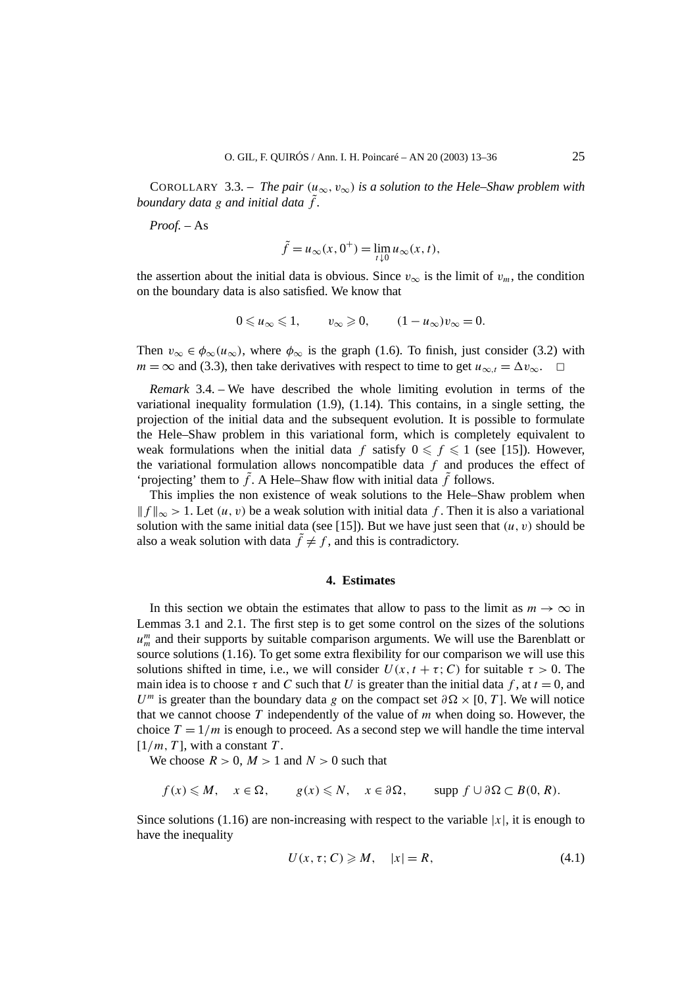COROLLARY 3.3. – *The pair*  $(u_{\infty}, v_{\infty})$  *is a solution to the Hele–Shaw problem with boundary data*  $g$  *and initial data*  $\tilde{f}$ *.* 

*Proof. –* As

$$
\tilde{f} = u_{\infty}(x, 0^+) = \lim_{t \downarrow 0} u_{\infty}(x, t),
$$

the assertion about the initial data is obvious. Since  $v_{\infty}$  is the limit of  $v_m$ , the condition on the boundary data is also satisfied. We know that

$$
0 \leqslant u_{\infty} \leqslant 1, \qquad v_{\infty} \geqslant 0, \qquad (1 - u_{\infty})v_{\infty} = 0.
$$

Then  $v_{\infty} \in \phi_{\infty}(u_{\infty})$ , where  $\phi_{\infty}$  is the graph (1.6). To finish, just consider (3.2) with *m* = ∞ and (3.3), then take derivatives with respect to time to get  $u_{\infty,t} = \Delta v_{\infty}$ .  $\Box$ 

*Remark* 3.4. – We have described the whole limiting evolution in terms of the variational inequality formulation (1.9), (1.14). This contains, in a single setting, the projection of the initial data and the subsequent evolution. It is possible to formulate the Hele–Shaw problem in this variational form, which is completely equivalent to weak formulations when the initial data  $f$  satisfy  $0 \le f \le 1$  (see [15]). However, the variational formulation allows noncompatible data *f* and produces the effect of 'projecting' them to  $\tilde{f}$ . A Hele–Shaw flow with initial data  $\tilde{f}$  follows.

This implies the non existence of weak solutions to the Hele–Shaw problem when  $|| f ||_{\infty}$  > 1. Let  $(u, v)$  be a weak solution with initial data f. Then it is also a variational solution with the same initial data (see [15]). But we have just seen that  $(u, v)$  should be also a weak solution with data  $\tilde{f} \neq f$ , and this is contradictory.

### **4. Estimates**

In this section we obtain the estimates that allow to pass to the limit as  $m \to \infty$  in Lemmas 3.1 and 2.1. The first step is to get some control on the sizes of the solutions *um <sup>m</sup>* and their supports by suitable comparison arguments. We will use the Barenblatt or source solutions  $(1.16)$ . To get some extra flexibility for our comparison we will use this solutions shifted in time, i.e., we will consider  $U(x, t + \tau; C)$  for suitable  $\tau > 0$ . The main idea is to choose  $\tau$  and C such that U is greater than the initial data f, at  $t = 0$ , and *U*<sup>*m*</sup> is greater than the boundary data *g* on the compact set  $\partial \Omega \times [0, T]$ . We will notice that we cannot choose *T* independently of the value of *m* when doing so. However, the choice  $T = 1/m$  is enough to proceed. As a second step we will handle the time interval  $[1/m, T]$ , with a constant *T*.

We choose  $R > 0$ ,  $M > 1$  and  $N > 0$  such that

$$
f(x) \leq M
$$
,  $x \in \Omega$ ,  $g(x) \leq N$ ,  $x \in \partial \Omega$ ,  $\text{supp } f \cup \partial \Omega \subset B(0, R)$ .

Since solutions (1.16) are non-increasing with respect to the variable  $|x|$ , it is enough to have the inequality

$$
U(x, \tau; C) \geqslant M, \quad |x| = R,\tag{4.1}
$$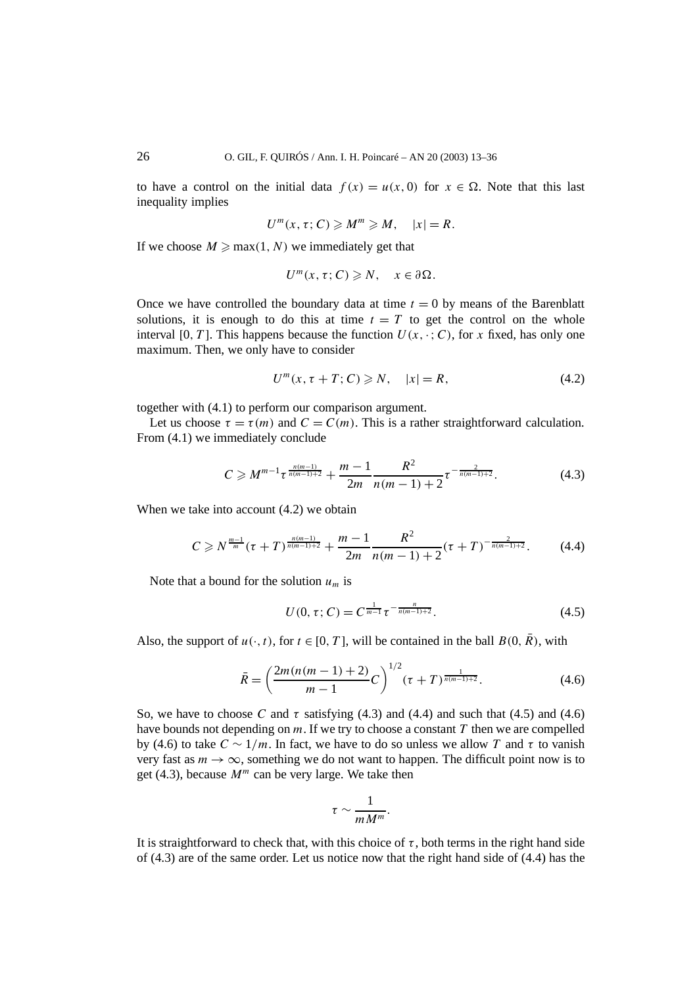to have a control on the initial data  $f(x) = u(x, 0)$  for  $x \in \Omega$ . Note that this last inequality implies

$$
U^m(x, \tau; C) \geqslant M^m \geqslant M, \quad |x| = R.
$$

If we choose  $M \ge \max(1, N)$  we immediately get that

$$
U^m(x,\tau;C)\geq N,\quad x\in\partial\Omega.
$$

Once we have controlled the boundary data at time  $t = 0$  by means of the Barenblatt solutions, it is enough to do this at time  $t = T$  to get the control on the whole interval [0, T]. This happens because the function  $U(x, \cdot; C)$ , for x fixed, has only one maximum. Then, we only have to consider

$$
U^{m}(x, \tau + T; C) \geq N, \quad |x| = R,
$$
\n(4.2)

together with (4.1) to perform our comparison argument.

Let us choose  $\tau = \tau(m)$  and  $C = C(m)$ . This is a rather straightforward calculation. From (4.1) we immediately conclude

$$
C \geqslant M^{m-1} \tau^{\frac{n(m-1)}{n(m-1)+2}} + \frac{m-1}{2m} \frac{R^2}{n(m-1)+2} \tau^{-\frac{2}{n(m-1)+2}}.
$$
 (4.3)

When we take into account  $(4.2)$  we obtain

$$
C \geq N^{\frac{m-1}{m}}(\tau+T)^{\frac{n(m-1)}{n(m-1)+2}} + \frac{m-1}{2m} \frac{R^2}{n(m-1)+2}(\tau+T)^{-\frac{2}{n(m-1)+2}}.
$$
 (4.4)

Note that a bound for the solution  $u_m$  is

$$
U(0, \tau; C) = C^{\frac{1}{m-1}} \tau^{-\frac{n}{n(m-1)+2}}.
$$
\n(4.5)

Also, the support of  $u(\cdot, t)$ , for  $t \in [0, T]$ , will be contained in the ball  $B(0, \overline{R})$ , with

$$
\bar{R} = \left(\frac{2m(n(m-1)+2)}{m-1}C\right)^{1/2}(\tau+T)^{\frac{1}{n(m-1)+2}}.\tag{4.6}
$$

So, we have to choose C and  $\tau$  satisfying (4.3) and (4.4) and such that (4.5) and (4.6) have bounds not depending on *m*. If we try to choose a constant *T* then we are compelled by (4.6) to take *C* ∼ 1*/m*. In fact, we have to do so unless we allow *T* and *τ* to vanish very fast as  $m \to \infty$ , something we do not want to happen. The difficult point now is to get (4.3), because  $M^m$  can be very large. We take then

$$
\tau \sim \frac{1}{m M^m}.
$$

It is straightforward to check that, with this choice of  $\tau$ , both terms in the right hand side of (4.3) are of the same order. Let us notice now that the right hand side of (4.4) has the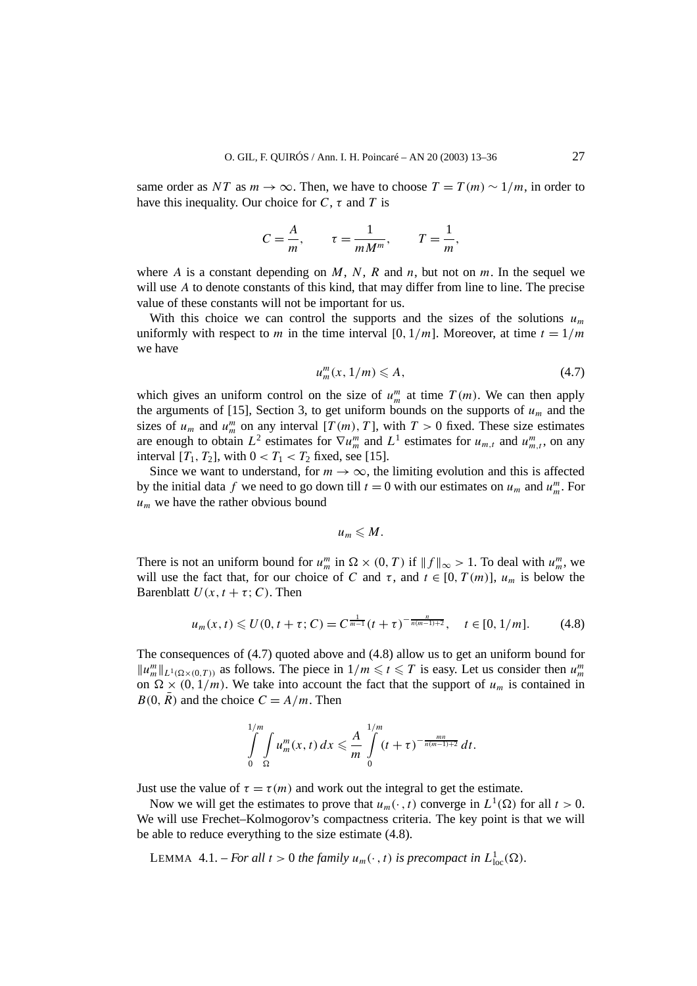same order as *NT* as  $m \to \infty$ . Then, we have to choose  $T = T(m) \sim 1/m$ , in order to have this inequality. Our choice for *C*, *τ* and *T* is

$$
C = \frac{A}{m}, \qquad \tau = \frac{1}{m M^m}, \qquad T = \frac{1}{m},
$$

where *A* is a constant depending on *M*, *N*, *R* and *n*, but not on *m*. In the sequel we will use A to denote constants of this kind, that may differ from line to line. The precise value of these constants will not be important for us.

With this choice we can control the supports and the sizes of the solutions  $u_m$ uniformly with respect to *m* in the time interval [0,  $1/m$ ]. Moreover, at time  $t = 1/m$ we have

$$
u_m^m(x, 1/m) \leqslant A,\tag{4.7}
$$

which gives an uniform control on the size of  $u_m^m$  at time  $T(m)$ . We can then apply the arguments of [15], Section 3, to get uniform bounds on the supports of  $u_m$  and the sizes of  $u_m$  and  $u_m^m$  on any interval  $[T(m), T]$ , with  $T > 0$  fixed. These size estimates are enough to obtain  $L^2$  estimates for  $\nabla u_m^m$  and  $L^1$  estimates for  $u_{m,t}$  and  $u_{m,t}^m$ , on any interval  $[T_1, T_2]$ , with  $0 < T_1 < T_2$  fixed, see [15].

Since we want to understand, for  $m \to \infty$ , the limiting evolution and this is affected by the initial data *f* we need to go down till  $t = 0$  with our estimates on  $u_m$  and  $u_m^m$ . For  $u_m$  we have the rather obvious bound

$$
u_m\leqslant M.
$$

There is not an uniform bound for  $u_m^m$  in  $\Omega \times (0, T)$  if  $||f||_{\infty} > 1$ . To deal with  $u_m^m$ , we will use the fact that, for our choice of *C* and  $\tau$ , and  $t \in [0, T(m)]$ ,  $u_m$  is below the Barenblatt  $U(x, t + \tau; C)$ . Then

$$
u_m(x,t) \leq U(0, t + \tau; C) = C^{\frac{1}{m-1}}(t + \tau)^{-\frac{n}{n(m-1)+2}}, \quad t \in [0, 1/m]. \tag{4.8}
$$

The consequences of (4.7) quoted above and (4.8) allow us to get an uniform bound for  $||u_m^m||_{L^1(\Omega \times (0,T))}$  as follows. The piece in  $1/m \le t \le T$  is easy. Let us consider then  $u_m^m$ on  $\Omega \times (0, 1/m)$ . We take into account the fact that the support of  $u_m$  is contained in  $B(0, \overline{R})$  and the choice  $C = A/m$ . Then

$$
\int_{0}^{1/m} \int_{\Omega} u_m^m(x, t) \, dx \leq \frac{A}{m} \int_{0}^{1/m} (t + \tau)^{-\frac{mn}{n(m-1)+2}} \, dt.
$$

Just use the value of  $\tau = \tau(m)$  and work out the integral to get the estimate.

Now we will get the estimates to prove that  $u_m(\cdot, t)$  converge in  $L^1(\Omega)$  for all  $t > 0$ . We will use Frechet–Kolmogorov's compactness criteria. The key point is that we will be able to reduce everything to the size estimate (4.8).

LEMMA 4.1. – *For all*  $t > 0$  *the family*  $u_m(\cdot, t)$  *is precompact in*  $L^1_{loc}(\Omega)$ *.*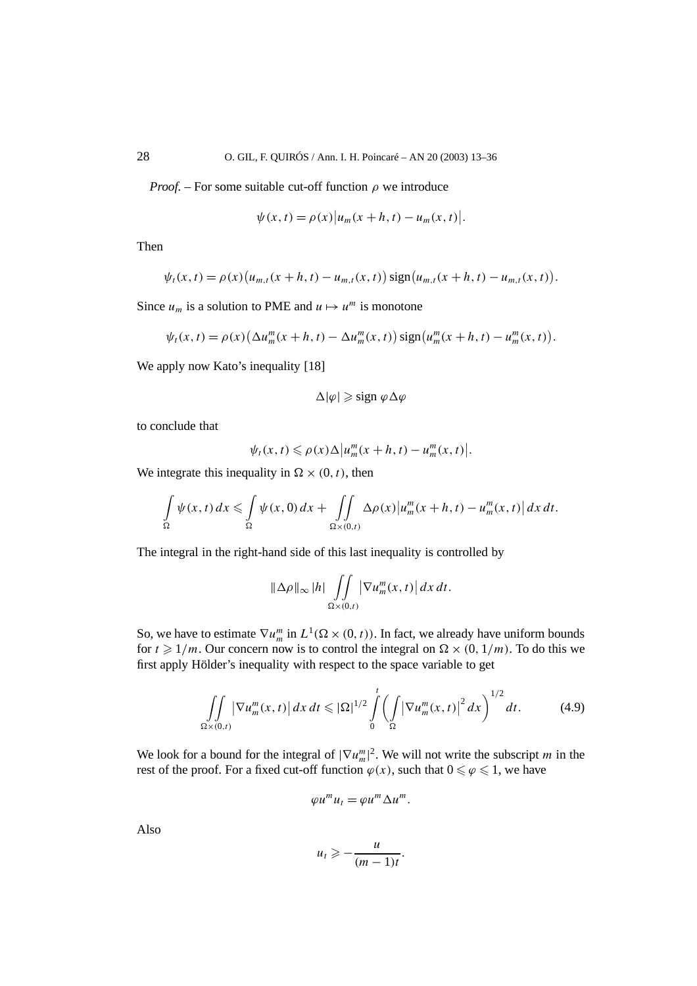*Proof.* – For some suitable cut-off function  $\rho$  we introduce

$$
\psi(x, t) = \rho(x) |u_m(x+h, t) - u_m(x, t)|.
$$

Then

$$
\psi_t(x,t) = \rho(x) (u_{m,t}(x+h,t) - u_{m,t}(x,t)) \operatorname{sign}(u_{m,t}(x+h,t) - u_{m,t}(x,t)).
$$

Since  $u_m$  is a solution to PME and  $u \mapsto u^m$  is monotone

$$
\psi_t(x,t) = \rho(x) \left( \Delta u_m^m(x+h,t) - \Delta u_m^m(x,t) \right) \text{sign}\left( u_m^m(x+h,t) - u_m^m(x,t) \right).
$$

We apply now Kato's inequality [18]

$$
\Delta |\varphi| \geqslant \text{sign } \varphi \Delta \varphi
$$

to conclude that

$$
\psi_t(x,t) \leq \rho(x)\Delta \left|u_m^m(x+h,t) - u_m^m(x,t)\right|.
$$

We integrate this inequality in  $\Omega \times (0, t)$ , then

$$
\int_{\Omega} \psi(x,t) dx \leq \int_{\Omega} \psi(x,0) dx + \int_{\Omega \times (0,t)} \Delta \rho(x) |u_m^m(x+h,t) - u_m^m(x,t)| dx dt.
$$

The integral in the right-hand side of this last inequality is controlled by

$$
\|\Delta\rho\|_{\infty} |h| \iint\limits_{\Omega\times(0,t)} |\nabla u_m^m(x,t)| dx dt.
$$

So, we have to estimate  $\nabla u_m^m$  in  $L^1(\Omega \times (0, t))$ . In fact, we already have uniform bounds for  $t \ge 1/m$ . Our concern now is to control the integral on  $\Omega \times (0, 1/m)$ . To do this we first apply Hölder's inequality with respect to the space variable to get

$$
\iint\limits_{\Omega\times(0,t)} \left|\nabla u_m^m(x,t)\right| dx\,dt \leqslant |\Omega|^{1/2} \int\limits_0^t \left(\int\limits_{\Omega} \left|\nabla u_m^m(x,t)\right|^2 dx\right)^{1/2} dt. \tag{4.9}
$$

We look for a bound for the integral of  $|\nabla u_m^m|^2$ . We will not write the subscript *m* in the rest of the proof. For a fixed cut-off function  $\varphi(x)$ , such that  $0 \le \varphi \le 1$ , we have

$$
\varphi u^m u_t = \varphi u^m \Delta u^m.
$$

Also

$$
u_t \geqslant -\frac{u}{(m-1)t}.
$$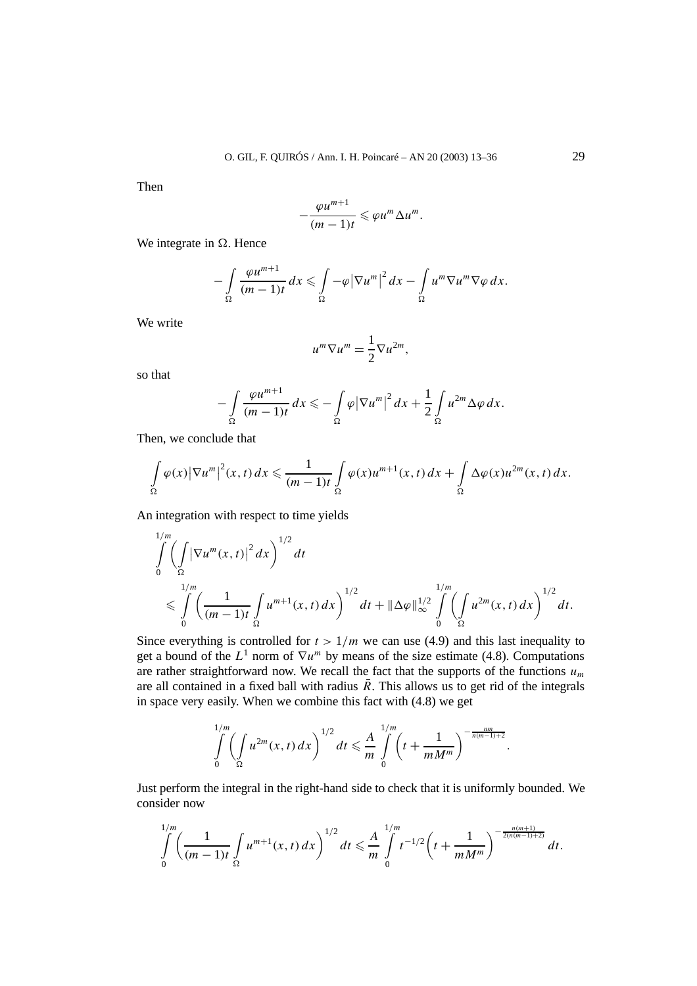Then

$$
-\frac{\varphi u^{m+1}}{(m-1)t}\leqslant \varphi u^m\Delta u^m.
$$

We integrate in  $\Omega$ . Hence

$$
-\int_{\Omega} \frac{\varphi u^{m+1}}{(m-1)t} dx \leq \int_{\Omega} -\varphi |\nabla u^m|^2 dx - \int_{\Omega} u^m \nabla u^m \nabla \varphi dx.
$$

We write

$$
u^m \nabla u^m = \frac{1}{2} \nabla u^{2m},
$$

so that

$$
-\int_{\Omega} \frac{\varphi u^{m+1}}{(m-1)t} dx \leqslant -\int_{\Omega} \varphi |\nabla u^m|^2 dx + \frac{1}{2} \int_{\Omega} u^{2m} \Delta \varphi dx.
$$

Then, we conclude that

$$
\int_{\Omega} \varphi(x) |\nabla u^m|^2(x,t) dx \leq \frac{1}{(m-1)t} \int_{\Omega} \varphi(x) u^{m+1}(x,t) dx + \int_{\Omega} \Delta \varphi(x) u^{2m}(x,t) dx.
$$

An integration with respect to time yields

$$
\int_{0}^{1/m} \left( \int_{\Omega} \left| \nabla u^{m}(x,t) \right|^{2} dx \right)^{1/2} dt
$$
\n
$$
\leq \int_{0}^{1/m} \left( \frac{1}{(m-1)t} \int_{\Omega} u^{m+1}(x,t) dx \right)^{1/2} dt + \|\Delta \varphi\|_{\infty}^{1/2} \int_{0}^{1/m} \left( \int_{\Omega} u^{2m}(x,t) dx \right)^{1/2} dt.
$$

Since everything is controlled for  $t > 1/m$  we can use (4.9) and this last inequality to get a bound of the  $L^1$  norm of  $\nabla u^m$  by means of the size estimate (4.8). Computations are rather straightforward now. We recall the fact that the supports of the functions  $u_m$ are all contained in a fixed ball with radius  $\overline{R}$ . This allows us to get rid of the integrals in space very easily. When we combine this fact with (4.8) we get

$$
\int_{0}^{1/m} \left(\int_{\Omega} u^{2m}(x,t) dx\right)^{1/2} dt \leq \frac{A}{m} \int_{0}^{1/m} \left(t + \frac{1}{m M^{m}}\right)^{-\frac{nm}{n(m-1)+2}}
$$

*.*

Just perform the integral in the right-hand side to check that it is uniformly bounded. We consider now

$$
\int_{0}^{1/m} \left(\frac{1}{(m-1)t}\int_{\Omega} u^{m+1}(x,t)\,dx\right)^{1/2}dt \leq \frac{A}{m}\int_{0}^{1/m} t^{-1/2}\left(t+\frac{1}{mM^m}\right)^{-\frac{n(m+1)}{2(n(m-1)+2)}}dt.
$$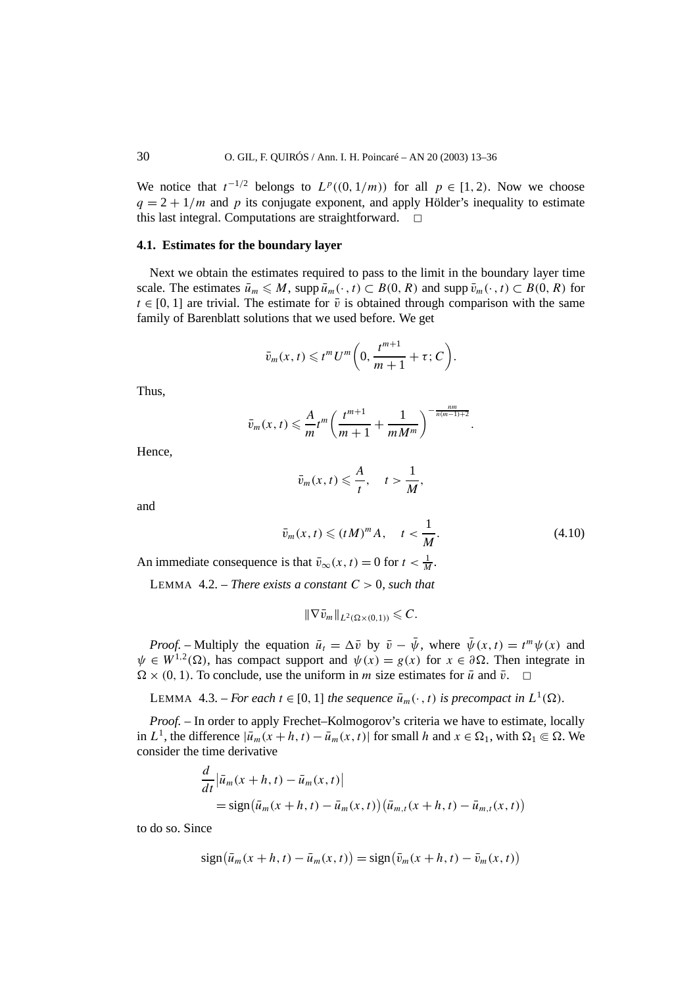We notice that  $t^{-1/2}$  belongs to  $L^p((0,1/m))$  for all  $p \in [1,2)$ . Now we choose  $q = 2 + 1/m$  and *p* its conjugate exponent, and apply Hölder's inequality to estimate this last integral. Computations are straightforward.  $\Box$ 

#### **4.1. Estimates for the boundary layer**

Next we obtain the estimates required to pass to the limit in the boundary layer time scale. The estimates  $\bar{u}_m \leq M$ , supp  $\bar{u}_m(\cdot, t) \subset B(0, R)$  and supp  $\bar{v}_m(\cdot, t) \subset B(0, R)$  for  $t \in [0, 1]$  are trivial. The estimate for  $\bar{v}$  is obtained through comparison with the same family of Barenblatt solutions that we used before. We get

$$
\bar{v}_m(x,t) \leqslant t^m U^m \bigg(0, \frac{t^{m+1}}{m+1} + \tau; C\bigg).
$$

Thus,

$$
\bar{v}_m(x,t) \leqslant \frac{A}{m} t^m \left( \frac{t^{m+1}}{m+1} + \frac{1}{m M^m} \right)^{-\frac{nm}{n(m-1)+2}}
$$

Hence,

$$
\bar{v}_m(x,t) \leqslant \frac{A}{t}, \quad t > \frac{1}{M},
$$

and

$$
\bar{v}_m(x,t) \leqslant (tM)^m A, \quad t < \frac{1}{M}.\tag{4.10}
$$

*.*

An immediate consequence is that  $\bar{v}_{\infty}(x, t) = 0$  for  $t < \frac{1}{M}$ .

LEMMA 4.2. – *There exists a constant*  $C > 0$ *, such that* 

$$
\|\nabla \bar{v}_m\|_{L^2(\Omega\times(0,1))}\leqslant C.
$$

*Proof.* – Multiply the equation  $\bar{u}_t = \Delta \bar{v}$  by  $\bar{v} - \bar{\psi}$ , where  $\bar{\psi}(x, t) = t^m \psi(x)$  and  $\psi \in W^{1,2}(\Omega)$ , has compact support and  $\psi(x) = g(x)$  for  $x \in \partial \Omega$ . Then integrate in  $\Omega \times (0, 1)$ . To conclude, use the uniform in *m* size estimates for *u*<sup> $\bar{u}$  and  $\bar{v}$ .  $\Box$ </sup>

LEMMA 4.3. – *For each*  $t \in [0, 1]$  *the sequence*  $\bar{u}_m(\cdot, t)$  *is precompact in*  $L^1(\Omega)$ *.* 

*Proof. –* In order to apply Frechet–Kolmogorov's criteria we have to estimate, locally in *L*<sup>1</sup>, the difference  $|\bar{u}_m(x+h,t) - \bar{u}_m(x,t)|$  for small *h* and  $x \in \Omega_1$ , with  $\Omega_1 \Subset \Omega$ . We consider the time derivative

$$
\frac{d}{dt} |\bar{u}_m(x+h, t) - \bar{u}_m(x, t)|
$$
\n
$$
= sign(\bar{u}_m(x+h, t) - \bar{u}_m(x, t)) (\bar{u}_{m,t}(x+h, t) - \bar{u}_{m,t}(x, t))
$$

to do so. Since

$$
\operatorname{sign}(\bar{u}_m(x+h,t) - \bar{u}_m(x,t)) = \operatorname{sign}(\bar{v}_m(x+h,t) - \bar{v}_m(x,t))
$$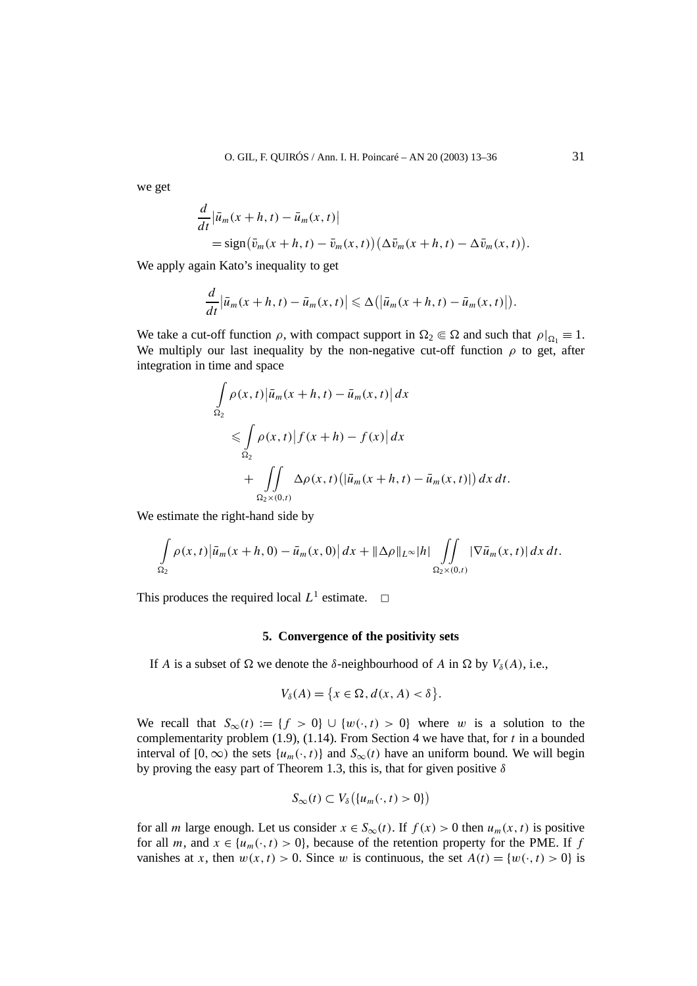we get

$$
\frac{d}{dt} \left| \bar{u}_m(x+h,t) - \bar{u}_m(x,t) \right|
$$
\n
$$
= \text{sign}(\bar{v}_m(x+h,t) - \bar{v}_m(x,t)) \left( \Delta \bar{v}_m(x+h,t) - \Delta \bar{v}_m(x,t) \right).
$$

We apply again Kato's inequality to get

$$
\frac{d}{dt}\left|\bar{u}_m(x+h,t)-\bar{u}_m(x,t)\right|\leq \Delta\big(\left|\bar{u}_m(x+h,t)-\bar{u}_m(x,t)\right|\big).
$$

We take a cut-off function  $\rho$ , with compact support in  $\Omega_2 \subseteq \Omega$  and such that  $\rho|_{\Omega_1} \equiv 1$ . We multiply our last inequality by the non-negative cut-off function  $\rho$  to get, after integration in time and space

$$
\int_{\Omega_2} \rho(x,t) |\bar{u}_m(x+h,t) - \bar{u}_m(x,t)| dx
$$
\n
$$
\leq \int_{\Omega_2} \rho(x,t) |f(x+h) - f(x)| dx
$$
\n
$$
+ \int_{\Omega_2} \int_{\Omega_2} \Delta \rho(x,t) (|\bar{u}_m(x+h,t) - \bar{u}_m(x,t)|) dx dt.
$$

We estimate the right-hand side by

$$
\int_{\Omega_2} \rho(x,t) \left| \bar{u}_m(x+h,0) - \bar{u}_m(x,0) \right| dx + \|\Delta \rho\|_{L^\infty} |h| \iint_{\Omega_2 \times (0,t)} \left| \nabla \bar{u}_m(x,t) \right| dx dt.
$$

This produces the required local  $L^1$  estimate.  $\Box$ 

# **5. Convergence of the positivity sets**

If *A* is a subset of  $\Omega$  we denote the *δ*-neighbourhood of *A* in  $\Omega$  by  $V_\delta(A)$ , i.e.,

$$
V_{\delta}(A) = \{x \in \Omega, d(x, A) < \delta\}.
$$

We recall that  $S_\infty(t) := \{f > 0\} \cup \{w(\cdot, t) > 0\}$  where *w* is a solution to the complementarity problem (1.9), (1.14). From Section 4 we have that, for *t* in a bounded interval of  $[0, \infty)$  the sets  $\{u_m(\cdot, t)\}$  and  $S_\infty(t)$  have an uniform bound. We will begin by proving the easy part of Theorem 1.3, this is, that for given positive *δ*

$$
S_{\infty}(t) \subset V_{\delta}\big(\{u_m(\cdot,t) > 0\}\big)
$$

for all *m* large enough. Let us consider  $x \in S_\infty(t)$ . If  $f(x) > 0$  then  $u_m(x, t)$  is positive for all *m*, and  $x \in \{u_m(\cdot,t) > 0\}$ , because of the retention property for the PME. If *f* vanishes at *x*, then  $w(x, t) > 0$ . Since *w* is continuous, the set  $A(t) = \{w(\cdot, t) > 0\}$  is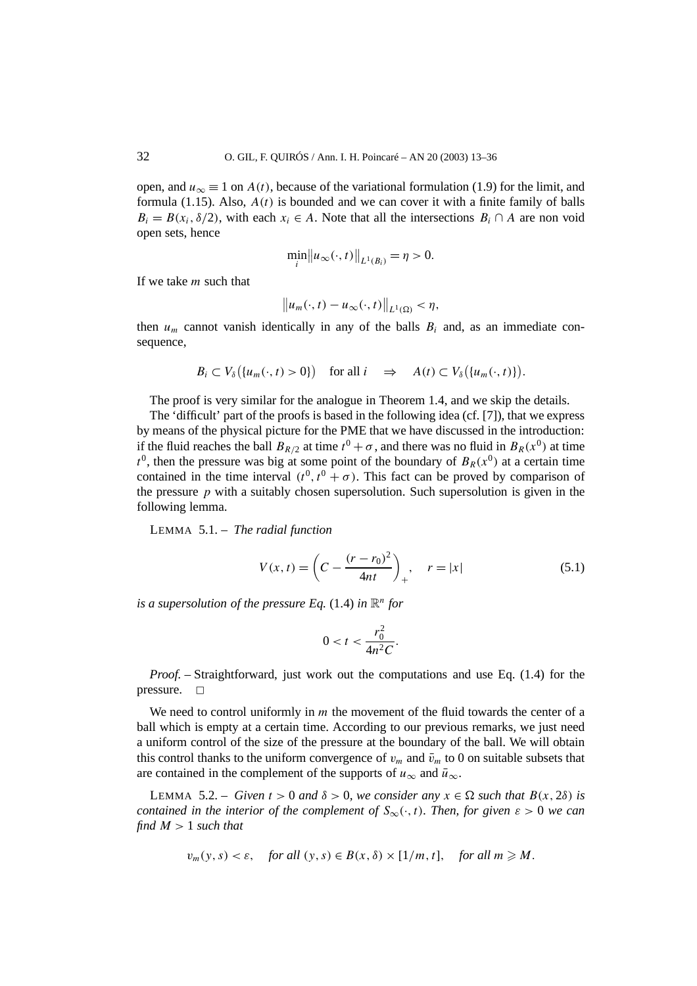open, and  $u_{\infty} \equiv 1$  on  $A(t)$ , because of the variational formulation (1.9) for the limit, and formula  $(1.15)$ . Also,  $A(t)$  is bounded and we can cover it with a finite family of balls  $B_i = B(x_i, \delta/2)$ , with each  $x_i \in A$ . Note that all the intersections  $B_i \cap A$  are non void open sets, hence

$$
\min_{i} ||u_{\infty}(\cdot, t)||_{L^{1}(B_{i})} = \eta > 0.
$$

If we take *m* such that

$$
\|u_m(\cdot,t)-u_\infty(\cdot,t)\|_{L^1(\Omega)}<\eta,
$$

then  $u_m$  cannot vanish identically in any of the balls  $B_i$  and, as an immediate consequence,

$$
B_i \subset V_{\delta}\big(\{u_m(\cdot,t) > 0\}\big) \quad \text{for all } i \quad \Rightarrow \quad A(t) \subset V_{\delta}\big(\{u_m(\cdot,t)\}\big).
$$

The proof is very similar for the analogue in Theorem 1.4, and we skip the details.

The 'difficult' part of the proofs is based in the following idea (cf. [7]), that we express by means of the physical picture for the PME that we have discussed in the introduction: if the fluid reaches the ball  $B_{R/2}$  at time  $t^0 + \sigma$ , and there was no fluid in  $B_R(x^0)$  at time  $t<sup>0</sup>$ , then the pressure was big at some point of the boundary of  $B<sub>R</sub>(x<sup>0</sup>)$  at a certain time contained in the time interval  $(t^0, t^0 + \sigma)$ . This fact can be proved by comparison of the pressure  $p$  with a suitably chosen supersolution. Such supersolution is given in the following lemma.

LEMMA 5.1. – *The radial function*

$$
V(x,t) = \left(C - \frac{(r - r_0)^2}{4nt}\right)_+, \quad r = |x|
$$
\n(5.1)

*is a supersolution of the pressure Eq.* (1.4) *in*  $\mathbb{R}^n$  *for* 

$$
0 < t < \frac{r_0^2}{4n^2C}.
$$

*Proof. –* Straightforward, just work out the computations and use Eq. (1.4) for the pressure.  $\square$ 

We need to control uniformly in *m* the movement of the fluid towards the center of a ball which is empty at a certain time. According to our previous remarks, we just need a uniform control of the size of the pressure at the boundary of the ball. We will obtain this control thanks to the uniform convergence of  $v_m$  and  $\bar{v}_m$  to 0 on suitable subsets that are contained in the complement of the supports of  $u_{\infty}$  and  $\bar{u}_{\infty}$ .

**LEMMA** 5.2. – *Given*  $t > 0$  *and*  $\delta > 0$ *, we consider any*  $x \in \Omega$  *such that*  $B(x, 2\delta)$  *is contained in the interior of the complement of*  $S_{\infty}(\cdot,t)$ *. Then, for given*  $\varepsilon > 0$  *we can find*  $M > 1$  *such that* 

$$
v_m(y, s) < \varepsilon
$$
, for all  $(y, s) \in B(x, \delta) \times [1/m, t]$ , for all  $m \ge M$ .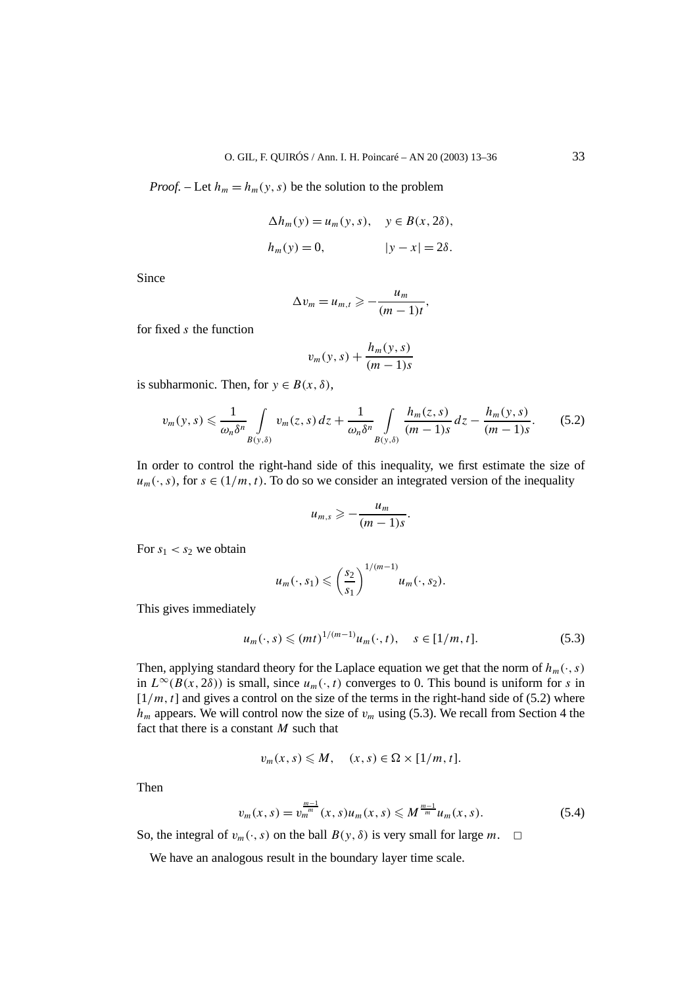*Proof.* – Let  $h_m = h_m(y, s)$  be the solution to the problem

$$
\Delta h_m(y) = u_m(y, s), \quad y \in B(x, 2\delta),
$$
  

$$
h_m(y) = 0, \qquad |y - x| = 2\delta.
$$

Since

$$
\Delta v_m = u_{m,t} \geqslant -\frac{u_m}{(m-1)t},
$$

for fixed *s* the function

$$
v_m(y,s) + \frac{h_m(y,s)}{(m-1)s}
$$

is subharmonic. Then, for  $y \in B(x, \delta)$ ,

$$
v_m(y,s) \leq \frac{1}{\omega_n \delta^n} \int\limits_{B(y,\delta)} v_m(z,s) \, dz + \frac{1}{\omega_n \delta^n} \int\limits_{B(y,\delta)} \frac{h_m(z,s)}{(m-1)s} \, dz - \frac{h_m(y,s)}{(m-1)s}.\tag{5.2}
$$

In order to control the right-hand side of this inequality, we first estimate the size of  $u_m(\cdot, s)$ , for  $s \in (1/m, t)$ . To do so we consider an integrated version of the inequality

$$
u_{m,s}\geqslant -\frac{u_m}{(m-1)s}.
$$

For  $s_1 < s_2$  we obtain

$$
u_m(\cdot,s_1)\leqslant \left(\frac{s_2}{s_1}\right)^{1/(m-1)}u_m(\cdot,s_2).
$$

This gives immediately

$$
u_m(\cdot, s) \le (mt)^{1/(m-1)} u_m(\cdot, t), \quad s \in [1/m, t].
$$
 (5.3)

Then, applying standard theory for the Laplace equation we get that the norm of  $h_m(\cdot, s)$ in  $L^{\infty}(B(x, 2\delta))$  is small, since  $u_m(\cdot, t)$  converges to 0. This bound is uniform for *s* in  $[1/m, t]$  and gives a control on the size of the terms in the right-hand side of (5.2) where  $h_m$  appears. We will control now the size of  $v_m$  using (5.3). We recall from Section 4 the fact that there is a constant *M* such that

$$
v_m(x,s) \leqslant M, \quad (x,s) \in \Omega \times [1/m, t].
$$

Then

$$
v_m(x,s) = v_m^{\frac{m-1}{m}}(x,s)u_m(x,s) \leqslant M^{\frac{m-1}{m}}u_m(x,s).
$$
 (5.4)

So, the integral of  $v_m(\cdot, s)$  on the ball  $B(y, \delta)$  is very small for large *m*.  $\Box$ 

We have an analogous result in the boundary layer time scale.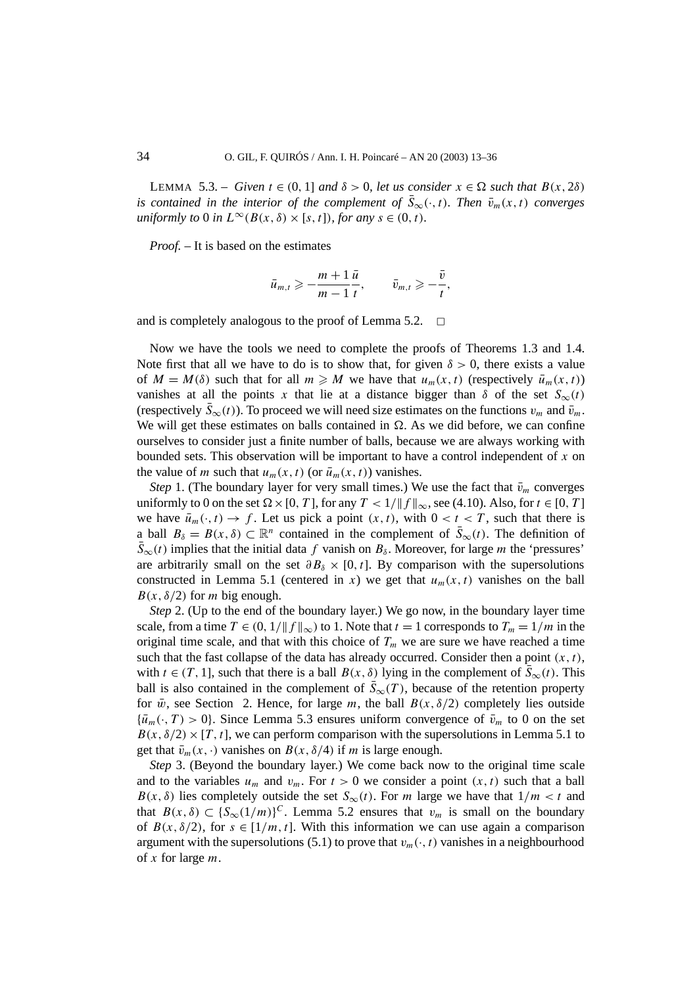LEMMA 5.3. – *Given*  $t \in (0, 1]$  *and*  $\delta > 0$ , *let us consider*  $x \in \Omega$  *such that*  $B(x, 2\delta)$ *is contained in the interior of the complement of*  $\bar{S}_{\infty}(\cdot,t)$ *. Then*  $\bar{v}_m(x,t)$  *converges uniformly to* 0 *in*  $L^{\infty}(B(x, \delta) \times [s, t])$ *, for any*  $s \in (0, t)$ *.* 

*Proof. –* It is based on the estimates

$$
\bar{u}_{m,t} \geqslant -\frac{m+1}{m-1}\frac{\bar{u}}{t}, \qquad \bar{v}_{m,t} \geqslant -\frac{\bar{v}}{t},
$$

and is completely analogous to the proof of Lemma 5.2.  $\Box$ 

Now we have the tools we need to complete the proofs of Theorems 1.3 and 1.4. Note first that all we have to do is to show that, for given  $\delta > 0$ , there exists a value of  $M = M(\delta)$  such that for all  $m \geq M$  we have that  $u_m(x, t)$  (respectively  $\bar{u}_m(x, t)$ ) vanishes at all the points x that lie at a distance bigger than  $\delta$  of the set  $S_\infty(t)$ (respectively  $\bar{S}_{\infty}(t)$ ). To proceed we will need size estimates on the functions  $v_m$  and  $\bar{v}_m$ . We will get these estimates on balls contained in  $\Omega$ . As we did before, we can confine ourselves to consider just a finite number of balls, because we are always working with bounded sets. This observation will be important to have a control independent of *x* on the value of *m* such that  $u_m(x, t)$  (or  $\bar{u}_m(x, t)$ ) vanishes.

*Step* 1. (The boundary layer for very small times.) We use the fact that  $\bar{v}_m$  converges uniformly to 0 on the set  $\Omega \times [0, T]$ , for any  $T < 1/\|f\|_{\infty}$ , see (4.10). Also, for  $t \in [0, T]$ we have  $\bar{u}_m(\cdot, t) \to f$ . Let us pick a point  $(x, t)$ , with  $0 < t < T$ , such that there is a ball  $B_\delta = B(x, \delta) \subset \mathbb{R}^n$  contained in the complement of  $\bar{S}_{\infty}(t)$ . The definition of  $\bar{S}_{\infty}(t)$  implies that the initial data *f* vanish on  $B_{\delta}$ . Moreover, for large *m* the 'pressures' are arbitrarily small on the set  $\partial B_\delta \times [0, t]$ . By comparison with the supersolutions constructed in Lemma 5.1 (centered in *x*) we get that  $u_m(x, t)$  vanishes on the ball  $B(x, \delta/2)$  for *m* big enough.

*Step* 2. (Up to the end of the boundary layer.) We go now, in the boundary layer time scale, from a time  $T \in (0, 1/\|f\|_{\infty})$  to 1. Note that  $t = 1$  corresponds to  $T_m = 1/m$  in the original time scale, and that with this choice of  $T_m$  we are sure we have reached a time such that the fast collapse of the data has already occurred. Consider then a point  $(x, t)$ , with  $t \in (T, 1]$ , such that there is a ball  $B(x, \delta)$  lying in the complement of  $\overline{S}_{\infty}(t)$ . This ball is also contained in the complement of  $\bar{S}_{\infty}(T)$ , because of the retention property for  $\bar{w}$ , see Section 2. Hence, for large *m*, the ball  $B(x, \delta/2)$  completely lies outside  ${\bar u}_m(\cdot,T)>0$ . Since Lemma 5.3 ensures uniform convergence of  $\bar v_m$  to 0 on the set  $B(x, \delta/2) \times [T, t]$ , we can perform comparison with the supersolutions in Lemma 5.1 to get that  $\bar{v}_m(x, \cdot)$  vanishes on  $B(x, \delta/4)$  if *m* is large enough.

*Step* 3. (Beyond the boundary layer.) We come back now to the original time scale and to the variables  $u_m$  and  $v_m$ . For  $t > 0$  we consider a point  $(x, t)$  such that a ball *B(x,*  $\delta$ *)* lies completely outside the set *S*<sup>∞</sup>(*t*). For *m* large we have that  $1/m < t$  and that  $B(x, \delta) \subset \{S_\infty(1/m)\}^C$ . Lemma 5.2 ensures that  $v_m$  is small on the boundary of  $B(x, \delta/2)$ , for  $s \in [1/m, t]$ . With this information we can use again a comparison argument with the supersolutions (5.1) to prove that  $v_m(\cdot, t)$  vanishes in a neighbourhood of *x* for large *m*.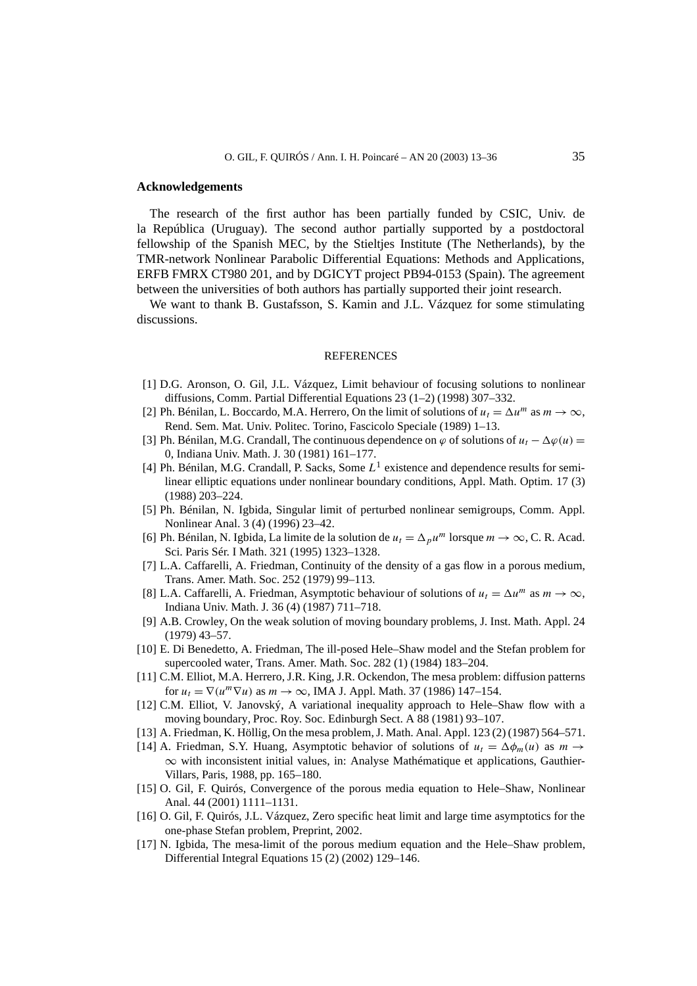#### **Acknowledgements**

The research of the first author has been partially funded by CSIC, Univ. de la República (Uruguay). The second author partially supported by a postdoctoral fellowship of the Spanish MEC, by the Stieltjes Institute (The Netherlands), by the TMR-network Nonlinear Parabolic Differential Equations: Methods and Applications, ERFB FMRX CT980 201, and by DGICYT project PB94-0153 (Spain). The agreement between the universities of both authors has partially supported their joint research.

We want to thank B. Gustafsson, S. Kamin and J.L. Vázquez for some stimulating discussions.

#### REFERENCES

- [1] D.G. Aronson, O. Gil, J.L. Vázquez, Limit behaviour of focusing solutions to nonlinear diffusions, Comm. Partial Differential Equations 23 (1–2) (1998) 307–332.
- [2] Ph. Bénilan, L. Boccardo, M.A. Herrero, On the limit of solutions of  $u_t = \Delta u^m$  as  $m \to \infty$ , Rend. Sem. Mat. Univ. Politec. Torino, Fascicolo Speciale (1989) 1–13.
- [3] Ph. Bénilan, M.G. Crandall, The continuous dependence on  $\varphi$  of solutions of  $u_t \Delta \varphi(u) =$ 0, Indiana Univ. Math. J. 30 (1981) 161–177.
- [4] Ph. Bénilan, M.G. Crandall, P. Sacks, Some *L*<sup>1</sup> existence and dependence results for semilinear elliptic equations under nonlinear boundary conditions, Appl. Math. Optim. 17 (3) (1988) 203–224.
- [5] Ph. Bénilan, N. Igbida, Singular limit of perturbed nonlinear semigroups, Comm. Appl. Nonlinear Anal. 3 (4) (1996) 23–42.
- [6] Ph. Bénilan, N. Igbida, La limite de la solution de  $u_t = \Delta_p u^m$  lorsque  $m \to \infty$ , C. R. Acad. Sci. Paris Sér. I Math. 321 (1995) 1323–1328.
- [7] L.A. Caffarelli, A. Friedman, Continuity of the density of a gas flow in a porous medium, Trans. Amer. Math. Soc. 252 (1979) 99–113.
- [8] L.A. Caffarelli, A. Friedman, Asymptotic behaviour of solutions of  $u_t = \Delta u^m$  as  $m \to \infty$ , Indiana Univ. Math. J. 36 (4) (1987) 711–718.
- [9] A.B. Crowley, On the weak solution of moving boundary problems, J. Inst. Math. Appl. 24 (1979) 43–57.
- [10] E. Di Benedetto, A. Friedman, The ill-posed Hele–Shaw model and the Stefan problem for supercooled water, Trans. Amer. Math. Soc. 282 (1) (1984) 183–204.
- [11] C.M. Elliot, M.A. Herrero, J.R. King, J.R. Ockendon, The mesa problem: diffusion patterns for  $u_t = \nabla(u^m \nabla u)$  as  $m \to \infty$ , IMA J. Appl. Math. 37 (1986) 147–154.
- [12] C.M. Elliot, V. Janovský, A variational inequality approach to Hele–Shaw flow with a moving boundary, Proc. Roy. Soc. Edinburgh Sect. A 88 (1981) 93–107.
- [13] A. Friedman, K. Höllig, On the mesa problem, J. Math. Anal. Appl. 123 (2) (1987) 564–571.
- [14] A. Friedman, S.Y. Huang, Asymptotic behavior of solutions of  $u_t = \Delta \phi_m(u)$  as  $m \rightarrow$ ∞ with inconsistent initial values, in: Analyse Mathématique et applications, Gauthier-Villars, Paris, 1988, pp. 165–180.
- [15] O. Gil, F. Quirós, Convergence of the porous media equation to Hele–Shaw, Nonlinear Anal. 44 (2001) 1111–1131.
- [16] O. Gil, F. Quirós, J.L. Vázquez, Zero specific heat limit and large time asymptotics for the one-phase Stefan problem, Preprint, 2002.
- [17] N. Igbida, The mesa-limit of the porous medium equation and the Hele–Shaw problem, Differential Integral Equations 15 (2) (2002) 129–146.